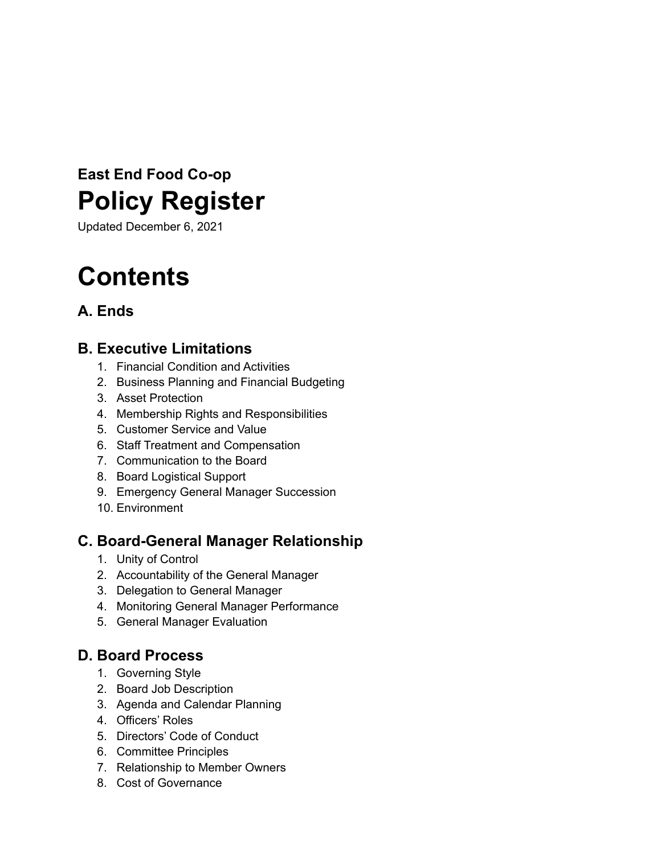# **East End Food Co-op Policy Register**

Updated December 6, 2021

# **Contents**

# **A. Ends**

# **B. Executive Limitations**

- 1. Financial Condition and Activities
- 2. Business Planning and Financial Budgeting
- 3. Asset Protection
- 4. Membership Rights and Responsibilities
- 5. Customer Service and Value
- 6. Staff Treatment and Compensation
- 7. Communication to the Board
- 8. Board Logistical Support
- 9. Emergency General Manager Succession
- 10. Environment

# **C. Board-General Manager Relationship**

- 1. Unity of Control
- 2. Accountability of the General Manager
- 3. Delegation to General Manager
- 4. Monitoring General Manager Performance
- 5. General Manager Evaluation

# **D. Board Process**

- 1. Governing Style
- 2. Board Job Description
- 3. Agenda and Calendar Planning
- 4. Officers' Roles
- 5. Directors' Code of Conduct
- 6. Committee Principles
- 7. Relationship to Member Owners
- 8. Cost of Governance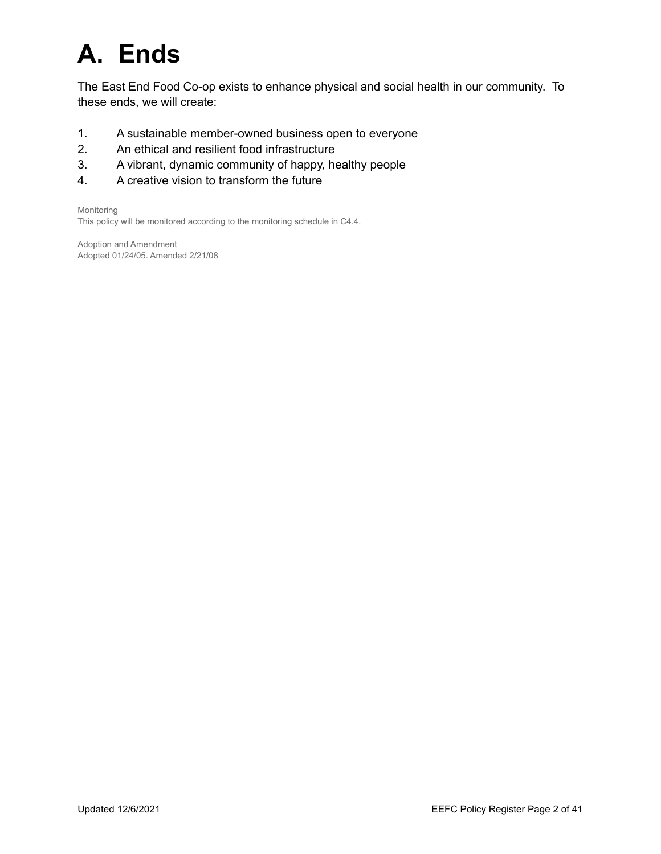# **A. Ends**

The East End Food Co-op exists to enhance physical and social health in our community. To these ends, we will create:

- 1. A sustainable member-owned business open to everyone
- 2. An ethical and resilient food infrastructure
- 3. A vibrant, dynamic community of happy, healthy people
- 4. A creative vision to transform the future

Monitoring

This policy will be monitored according to the monitoring schedule in C4.4.

Adoption and Amendment Adopted 01/24/05. Amended 2/21/08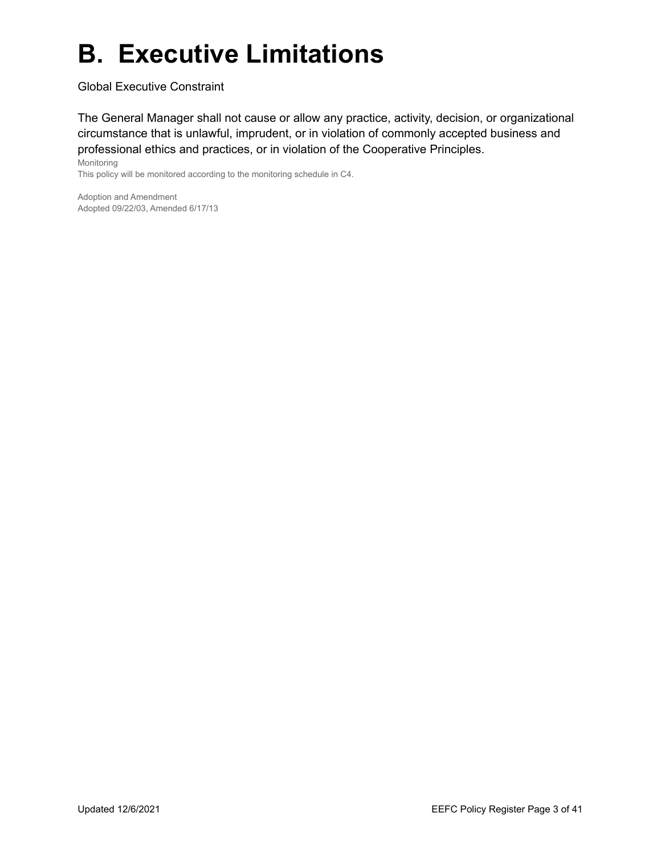# **B. Executive Limitations**

Global Executive Constraint

The General Manager shall not cause or allow any practice, activity, decision, or organizational circumstance that is unlawful, imprudent, or in violation of commonly accepted business and professional ethics and practices, or in violation of the Cooperative Principles.

Monitoring This policy will be monitored according to the monitoring schedule in C4.

Adoption and Amendment Adopted 09/22/03, Amended 6/17/13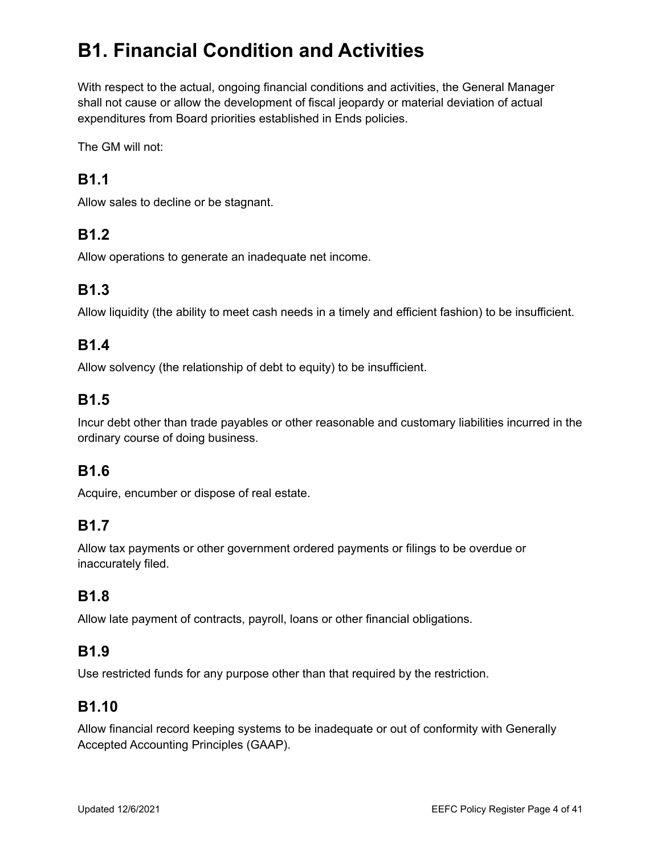# **B1. Financial Condition and Activities**

With respect to the actual, ongoing financial conditions and activities, the General Manager shall not cause or allow the development of fiscal jeopardy or material deviation of actual expenditures from Board priorities established in Ends policies.

The GM will not:

# **B1.1**

Allow sales to decline or be stagnant.

# **B1.2**

Allow operations to generate an inadequate net income.

# **B1.3**

Allow liquidity (the ability to meet cash needs in a timely and efficient fashion) to be insufficient.

# **B1.4**

Allow solvency (the relationship of debt to equity) to be insufficient.

# **B1.5**

Incur debt other than trade payables or other reasonable and customary liabilities incurred in the ordinary course of doing business.

## **B1.6**

Acquire, encumber or dispose of real estate.

# **B1.7**

Allow tax payments or other government ordered payments or filings to be overdue or inaccurately filed.

## **B1.8**

Allow late payment of contracts, payroll, loans or other financial obligations.

## **B1.9**

Use restricted funds for any purpose other than that required by the restriction.

## **B1.10**

Allow financial record keeping systems to be inadequate or out of conformity with Generally Accepted Accounting Principles (GAAP).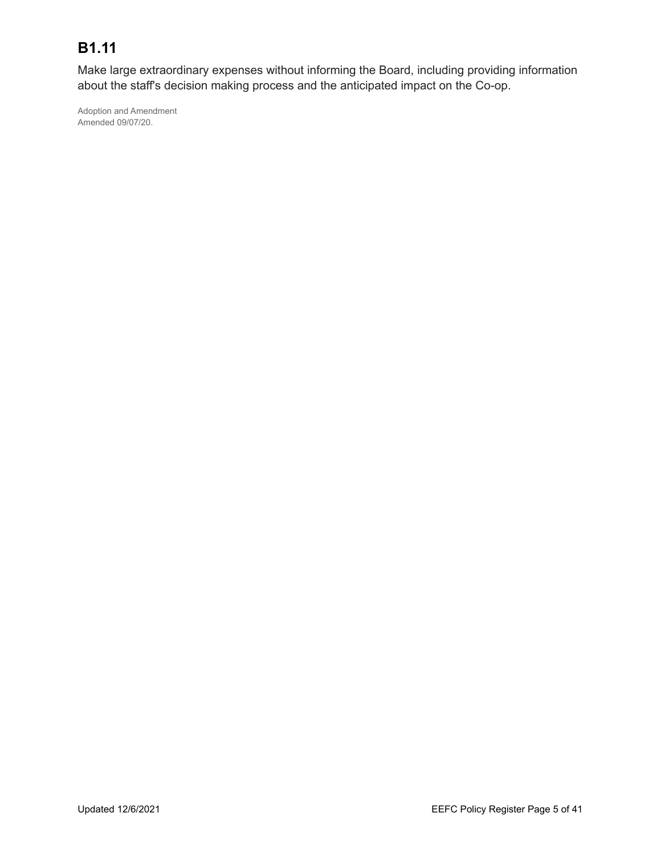# **B1.11**

Make large extraordinary expenses without informing the Board, including providing information about the staff's decision making process and the anticipated impact on the Co-op.

Adoption and Amendment Amended 09/07/20.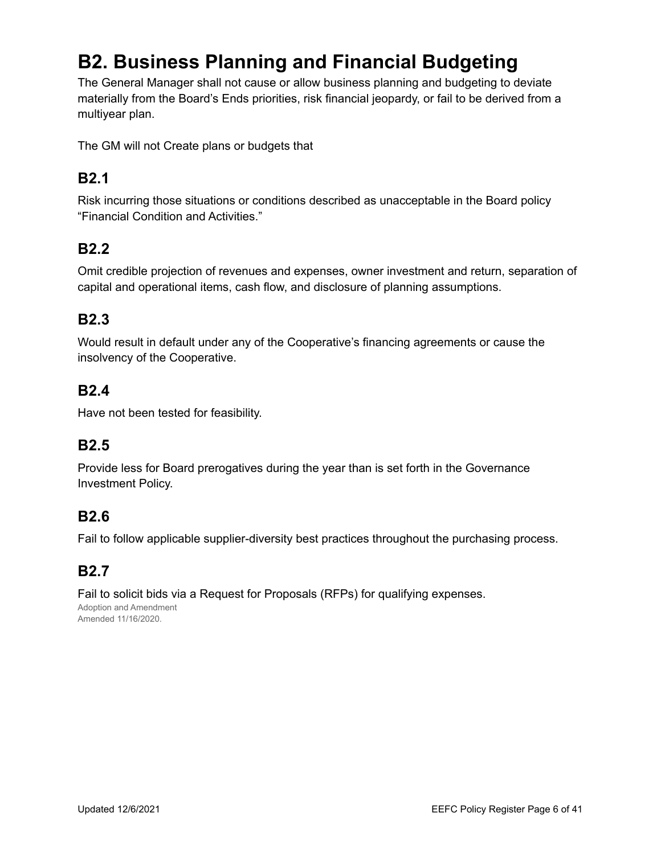# **B2. Business Planning and Financial Budgeting**

The General Manager shall not cause or allow business planning and budgeting to deviate materially from the Board's Ends priorities, risk financial jeopardy, or fail to be derived from a multiyear plan.

The GM will not Create plans or budgets that

# **B2.1**

Risk incurring those situations or conditions described as unacceptable in the Board policy "Financial Condition and Activities."

## **B2.2**

Omit credible projection of revenues and expenses, owner investment and return, separation of capital and operational items, cash flow, and disclosure of planning assumptions.

## **B2.3**

Would result in default under any of the Cooperative's financing agreements or cause the insolvency of the Cooperative.

#### **B2.4**

Have not been tested for feasibility.

## **B2.5**

Provide less for Board prerogatives during the year than is set forth in the Governance Investment Policy.

## **B2.6**

Fail to follow applicable supplier-diversity best practices throughout the purchasing process.

## **B2.7**

Fail to solicit bids via a Request for Proposals (RFPs) for qualifying expenses. Adoption and Amendment Amended 11/16/2020.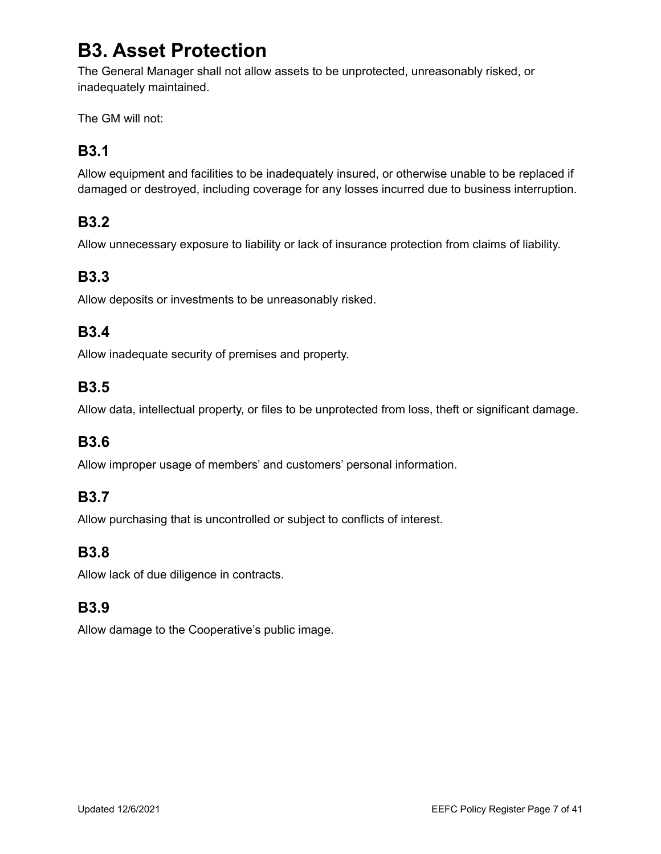# **B3. Asset Protection**

The General Manager shall not allow assets to be unprotected, unreasonably risked, or inadequately maintained.

The GM will not:

# **B3.1**

Allow equipment and facilities to be inadequately insured, or otherwise unable to be replaced if damaged or destroyed, including coverage for any losses incurred due to business interruption.

# **B3.2**

Allow unnecessary exposure to liability or lack of insurance protection from claims of liability.

# **B3.3**

Allow deposits or investments to be unreasonably risked.

#### **B3.4**

Allow inadequate security of premises and property.

## **B3.5**

Allow data, intellectual property, or files to be unprotected from loss, theft or significant damage.

#### **B3.6**

Allow improper usage of members' and customers' personal information.

#### **B3.7**

Allow purchasing that is uncontrolled or subject to conflicts of interest.

#### **B3.8**

Allow lack of due diligence in contracts.

## **B3.9**

Allow damage to the Cooperative's public image.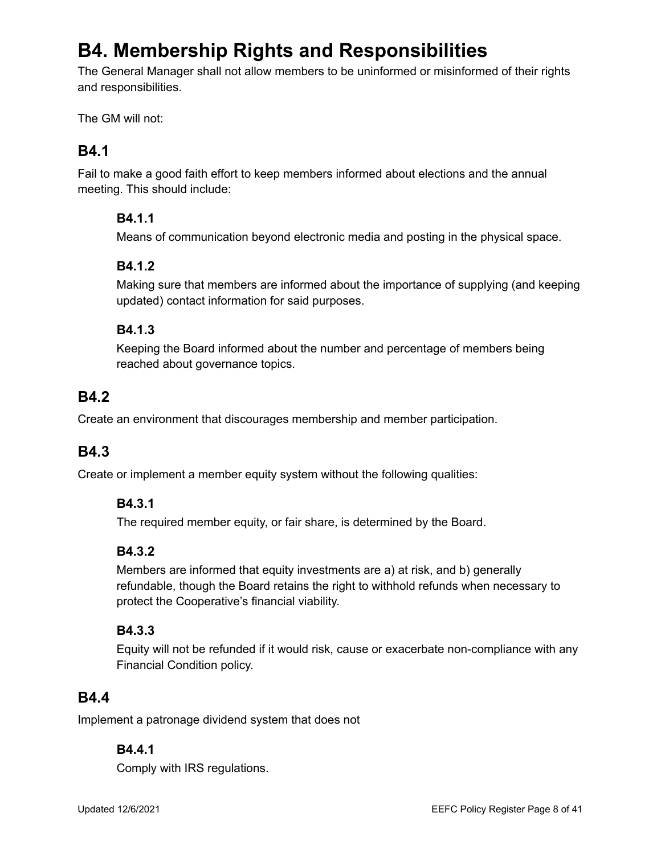# **B4. Membership Rights and Responsibilities**

The General Manager shall not allow members to be uninformed or misinformed of their rights and responsibilities.

The GM will not:

# **B4.1**

Fail to make a good faith effort to keep members informed about elections and the annual meeting. This should include:

#### **B4.1.1**

Means of communication beyond electronic media and posting in the physical space.

#### **B4.1.2**

Making sure that members are informed about the importance of supplying (and keeping updated) contact information for said purposes.

#### **B4.1.3**

Keeping the Board informed about the number and percentage of members being reached about governance topics.

# **B4.2**

Create an environment that discourages membership and member participation.

## **B4.3**

Create or implement a member equity system without the following qualities:

#### **B4.3.1**

The required member equity, or fair share, is determined by the Board.

#### **B4.3.2**

Members are informed that equity investments are a) at risk, and b) generally refundable, though the Board retains the right to withhold refunds when necessary to protect the Cooperative's financial viability.

#### **B4.3.3**

Equity will not be refunded if it would risk, cause or exacerbate non-compliance with any Financial Condition policy.

## **B4.4**

Implement a patronage dividend system that does not

#### **B4.4.1**

Comply with IRS regulations.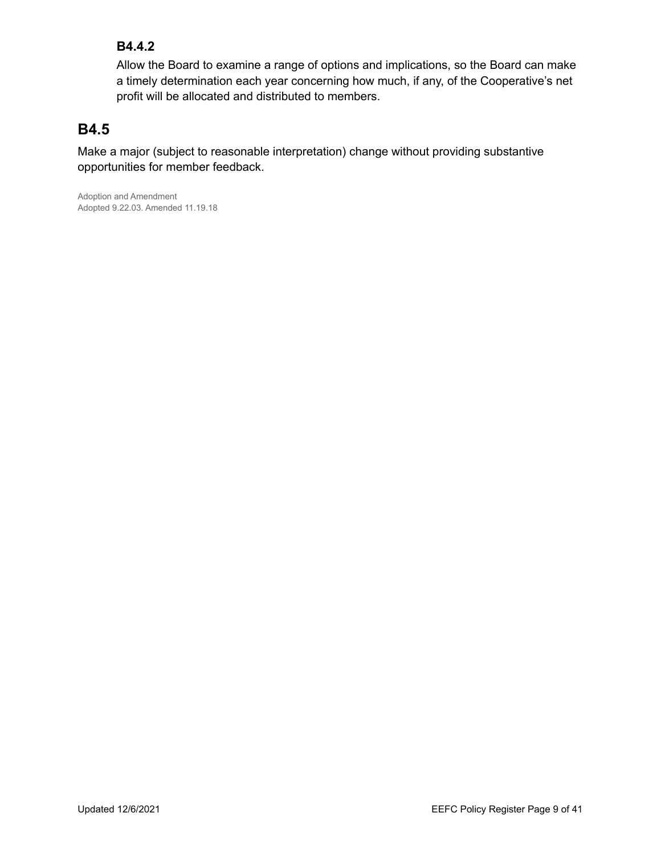#### **B4.4.2**

Allow the Board to examine a range of options and implications, so the Board can make a timely determination each year concerning how much, if any, of the Cooperative's net profit will be allocated and distributed to members.

# **B4.5**

Make a major (subject to reasonable interpretation) change without providing substantive opportunities for member feedback.

Adoption and Amendment Adopted 9.22.03. Amended 11.19.18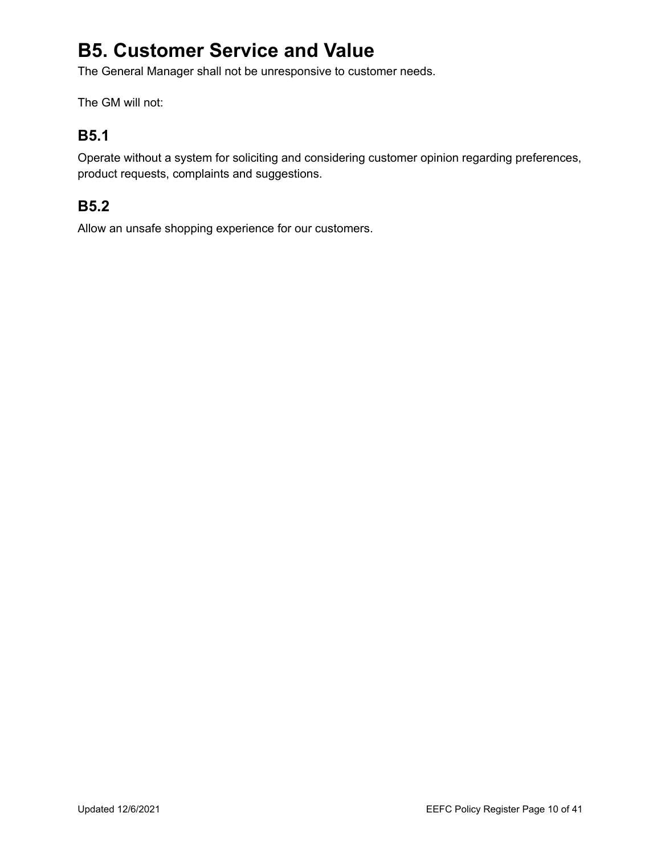# **B5. Customer Service and Value**

The General Manager shall not be unresponsive to customer needs.

The GM will not:

# **B5.1**

Operate without a system for soliciting and considering customer opinion regarding preferences, product requests, complaints and suggestions.

# **B5.2**

Allow an unsafe shopping experience for our customers.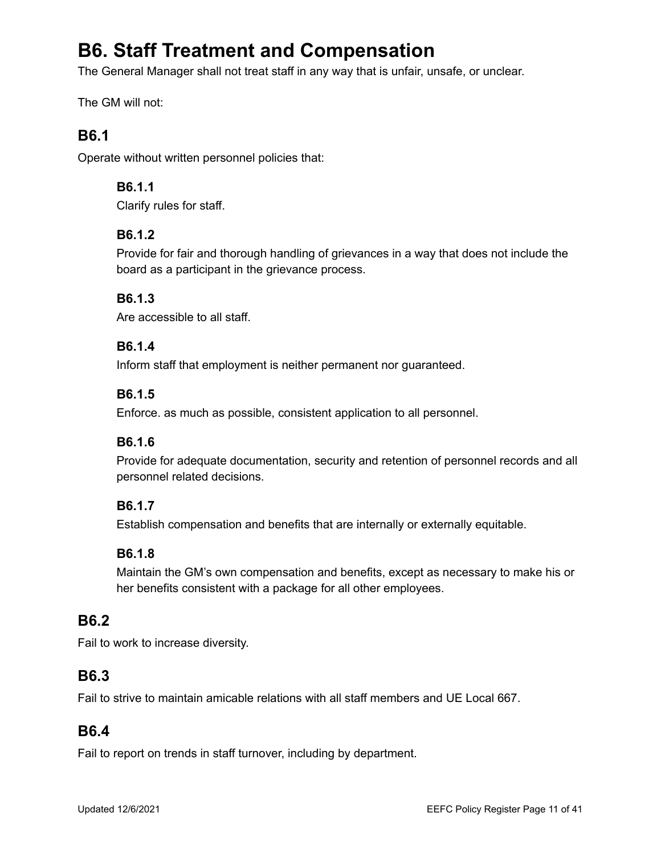# **B6. Staff Treatment and Compensation**

The General Manager shall not treat staff in any way that is unfair, unsafe, or unclear.

The GM will not:

### **B6.1**

Operate without written personnel policies that:

#### **B6.1.1**

Clarify rules for staff.

#### **B6.1.2**

Provide for fair and thorough handling of grievances in a way that does not include the board as a participant in the grievance process.

#### **B6.1.3**

Are accessible to all staff.

#### **B6.1.4**

Inform staff that employment is neither permanent nor guaranteed.

#### **B6.1.5**

Enforce. as much as possible, consistent application to all personnel.

#### **B6.1.6**

Provide for adequate documentation, security and retention of personnel records and all personnel related decisions.

#### **B6.1.7**

Establish compensation and benefits that are internally or externally equitable.

#### **B6.1.8**

Maintain the GM's own compensation and benefits, except as necessary to make his or her benefits consistent with a package for all other employees.

#### **B6.2**

Fail to work to increase diversity.

#### **B6.3**

Fail to strive to maintain amicable relations with all staff members and UE Local 667.

#### **B6.4**

Fail to report on trends in staff turnover, including by department.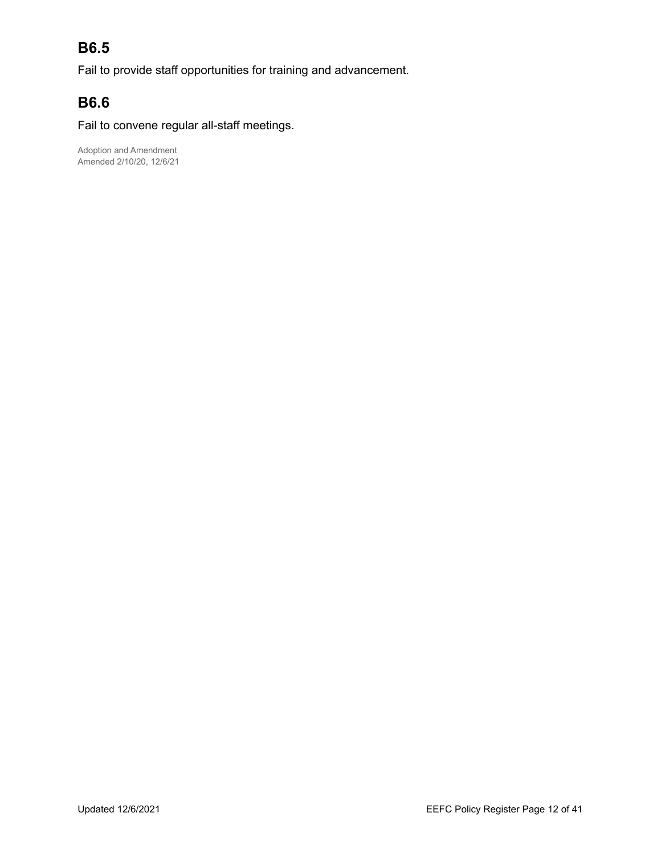# **B6.5**

Fail to provide staff opportunities for training and advancement.

# **B6.6**

Fail to convene regular all-staff meetings.

Adoption and Amendment Amended 2/10/20, 12/6/21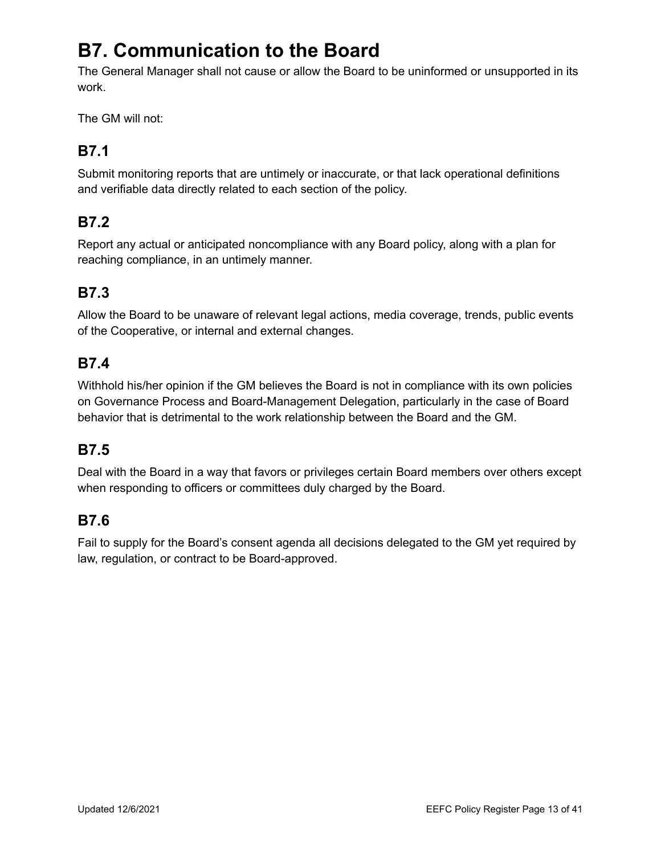# **B7. Communication to the Board**

The General Manager shall not cause or allow the Board to be uninformed or unsupported in its work.

The GM will not:

# **B7.1**

Submit monitoring reports that are untimely or inaccurate, or that lack operational definitions and verifiable data directly related to each section of the policy.

# **B7.2**

Report any actual or anticipated noncompliance with any Board policy, along with a plan for reaching compliance, in an untimely manner.

# **B7.3**

Allow the Board to be unaware of relevant legal actions, media coverage, trends, public events of the Cooperative, or internal and external changes.

## **B7.4**

Withhold his/her opinion if the GM believes the Board is not in compliance with its own policies on Governance Process and Board-Management Delegation, particularly in the case of Board behavior that is detrimental to the work relationship between the Board and the GM.

# **B7.5**

Deal with the Board in a way that favors or privileges certain Board members over others except when responding to officers or committees duly charged by the Board.

# **B7.6**

Fail to supply for the Board's consent agenda all decisions delegated to the GM yet required by law, regulation, or contract to be Board-approved.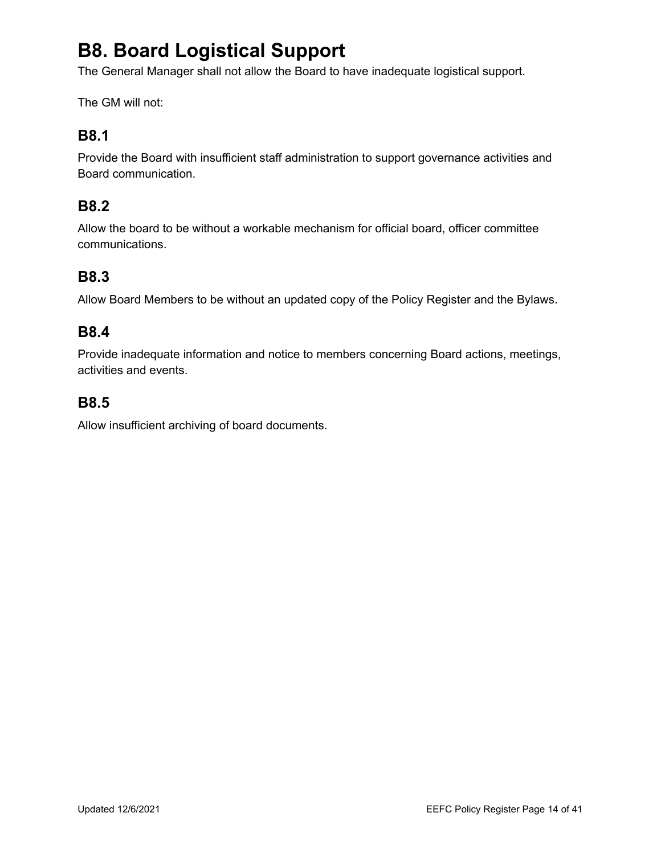# **B8. Board Logistical Support**

The General Manager shall not allow the Board to have inadequate logistical support.

The GM will not:

### **B8.1**

Provide the Board with insufficient staff administration to support governance activities and Board communication.

### **B8.2**

Allow the board to be without a workable mechanism for official board, officer committee communications.

# **B8.3**

Allow Board Members to be without an updated copy of the Policy Register and the Bylaws.

#### **B8.4**

Provide inadequate information and notice to members concerning Board actions, meetings, activities and events.

#### **B8.5**

Allow insufficient archiving of board documents.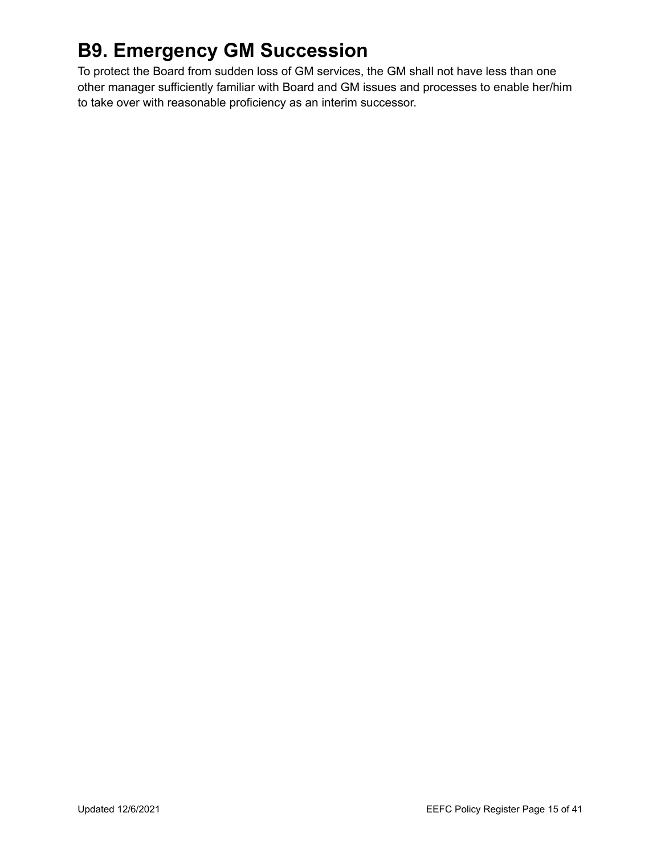# **B9. Emergency GM Succession**

To protect the Board from sudden loss of GM services, the GM shall not have less than one other manager sufficiently familiar with Board and GM issues and processes to enable her/him to take over with reasonable proficiency as an interim successor.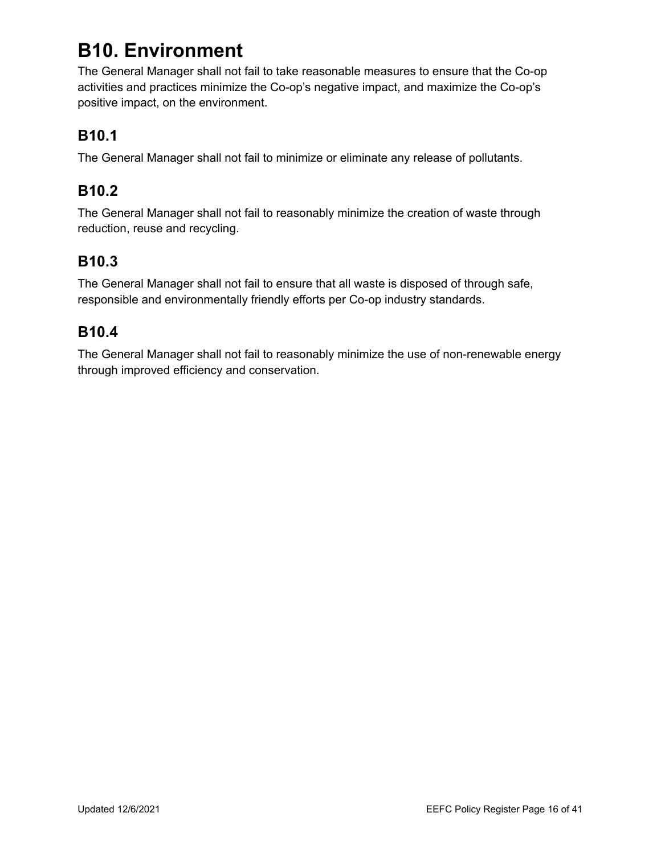# **B10. Environment**

The General Manager shall not fail to take reasonable measures to ensure that the Co-op activities and practices minimize the Co-op's negative impact, and maximize the Co-op's positive impact, on the environment.

# **B10.1**

The General Manager shall not fail to minimize or eliminate any release of pollutants.

# **B10.2**

The General Manager shall not fail to reasonably minimize the creation of waste through reduction, reuse and recycling.

# **B10.3**

The General Manager shall not fail to ensure that all waste is disposed of through safe, responsible and environmentally friendly efforts per Co-op industry standards.

## **B10.4**

The General Manager shall not fail to reasonably minimize the use of non-renewable energy through improved efficiency and conservation.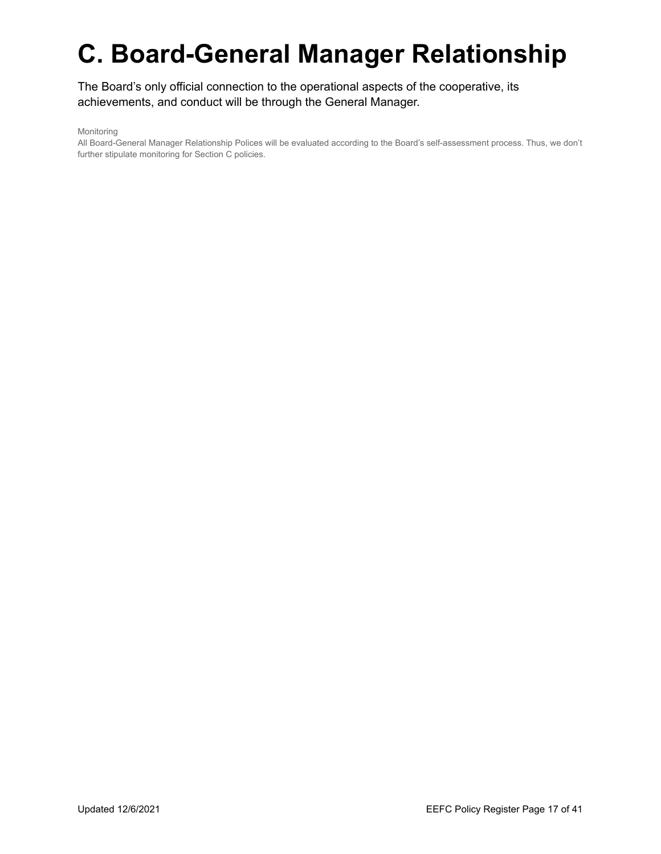# **C. Board-General Manager Relationship**

The Board's only official connection to the operational aspects of the cooperative, its achievements, and conduct will be through the General Manager.

Monitoring

All Board-General Manager Relationship Polices will be evaluated according to the Board's self-assessment process. Thus, we don't further stipulate monitoring for Section C policies.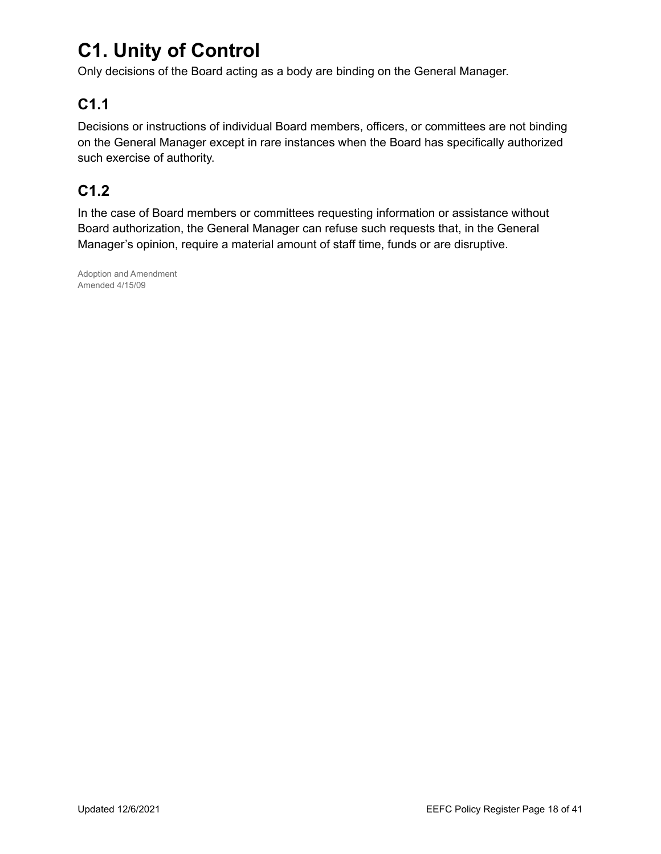# **C1. Unity of Control**

Only decisions of the Board acting as a body are binding on the General Manager.

# **C1.1**

Decisions or instructions of individual Board members, officers, or committees are not binding on the General Manager except in rare instances when the Board has specifically authorized such exercise of authority.

# **C1.2**

In the case of Board members or committees requesting information or assistance without Board authorization, the General Manager can refuse such requests that, in the General Manager's opinion, require a material amount of staff time, funds or are disruptive.

Adoption and Amendment Amended 4/15/09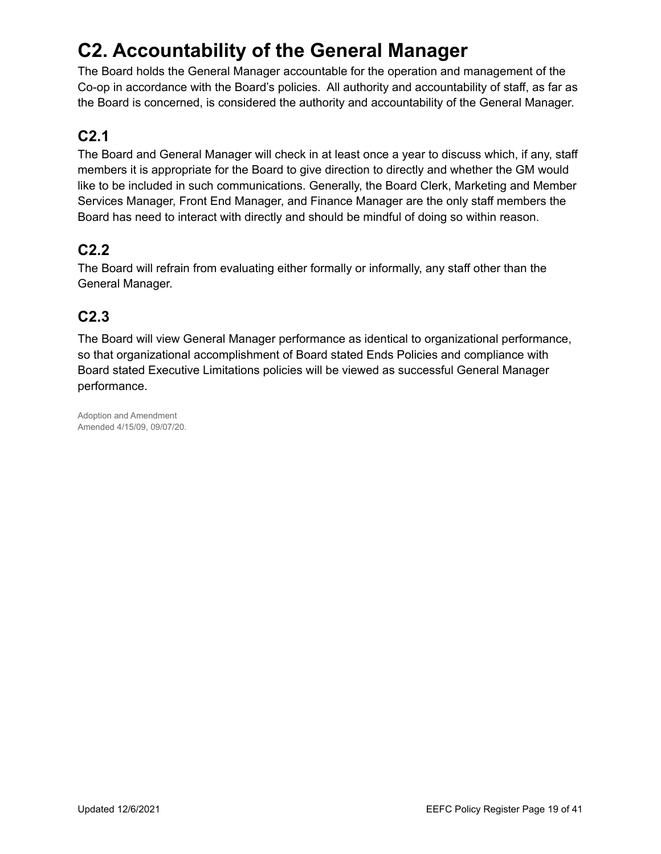# **C2. Accountability of the General Manager**

The Board holds the General Manager accountable for the operation and management of the Co-op in accordance with the Board's policies. All authority and accountability of staff, as far as the Board is concerned, is considered the authority and accountability of the General Manager.

# **C2.1**

The Board and General Manager will check in at least once a year to discuss which, if any, staff members it is appropriate for the Board to give direction to directly and whether the GM would like to be included in such communications. Generally, the Board Clerk, Marketing and Member Services Manager, Front End Manager, and Finance Manager are the only staff members the Board has need to interact with directly and should be mindful of doing so within reason.

# **C2.2**

The Board will refrain from evaluating either formally or informally, any staff other than the General Manager.

# **C2.3**

The Board will view General Manager performance as identical to organizational performance, so that organizational accomplishment of Board stated Ends Policies and compliance with Board stated Executive Limitations policies will be viewed as successful General Manager performance.

Adoption and Amendment Amended 4/15/09, 09/07/20.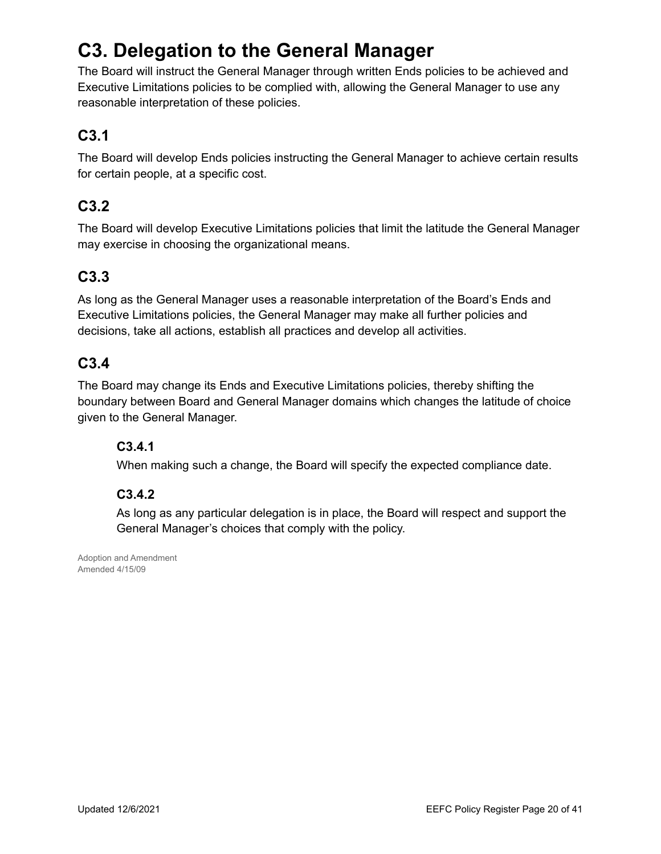# **C3. Delegation to the General Manager**

The Board will instruct the General Manager through written Ends policies to be achieved and Executive Limitations policies to be complied with, allowing the General Manager to use any reasonable interpretation of these policies.

# **C3.1**

The Board will develop Ends policies instructing the General Manager to achieve certain results for certain people, at a specific cost.

## **C3.2**

The Board will develop Executive Limitations policies that limit the latitude the General Manager may exercise in choosing the organizational means.

# **C3.3**

As long as the General Manager uses a reasonable interpretation of the Board's Ends and Executive Limitations policies, the General Manager may make all further policies and decisions, take all actions, establish all practices and develop all activities.

## **C3.4**

The Board may change its Ends and Executive Limitations policies, thereby shifting the boundary between Board and General Manager domains which changes the latitude of choice given to the General Manager.

#### **C3.4.1**

When making such a change, the Board will specify the expected compliance date.

#### **C3.4.2**

As long as any particular delegation is in place, the Board will respect and support the General Manager's choices that comply with the policy.

Adoption and Amendment Amended 4/15/09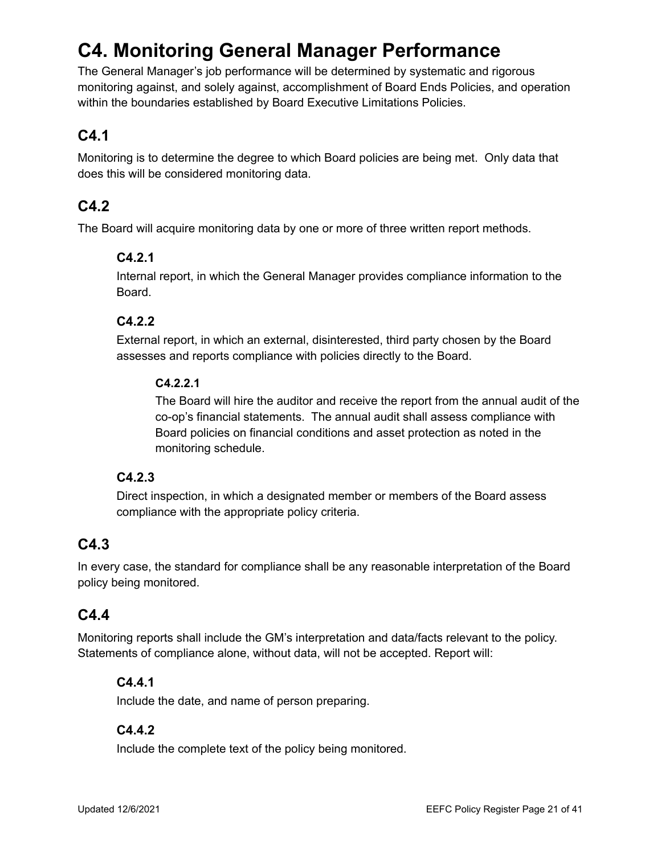# **C4. Monitoring General Manager Performance**

The General Manager's job performance will be determined by systematic and rigorous monitoring against, and solely against, accomplishment of Board Ends Policies, and operation within the boundaries established by Board Executive Limitations Policies.

# **C4.1**

Monitoring is to determine the degree to which Board policies are being met. Only data that does this will be considered monitoring data.

# **C4.2**

The Board will acquire monitoring data by one or more of three written report methods.

#### **C4.2.1**

Internal report, in which the General Manager provides compliance information to the Board.

#### **C4.2.2**

External report, in which an external, disinterested, third party chosen by the Board assesses and reports compliance with policies directly to the Board.

#### **C4.2.2.1**

The Board will hire the auditor and receive the report from the annual audit of the co-op's financial statements. The annual audit shall assess compliance with Board policies on financial conditions and asset protection as noted in the monitoring schedule.

#### **C4.2.3**

Direct inspection, in which a designated member or members of the Board assess compliance with the appropriate policy criteria.

## **C4.3**

In every case, the standard for compliance shall be any reasonable interpretation of the Board policy being monitored.

## **C4.4**

Monitoring reports shall include the GM's interpretation and data/facts relevant to the policy. Statements of compliance alone, without data, will not be accepted. Report will:

#### **C4.4.1**

Include the date, and name of person preparing.

#### **C4.4.2**

Include the complete text of the policy being monitored.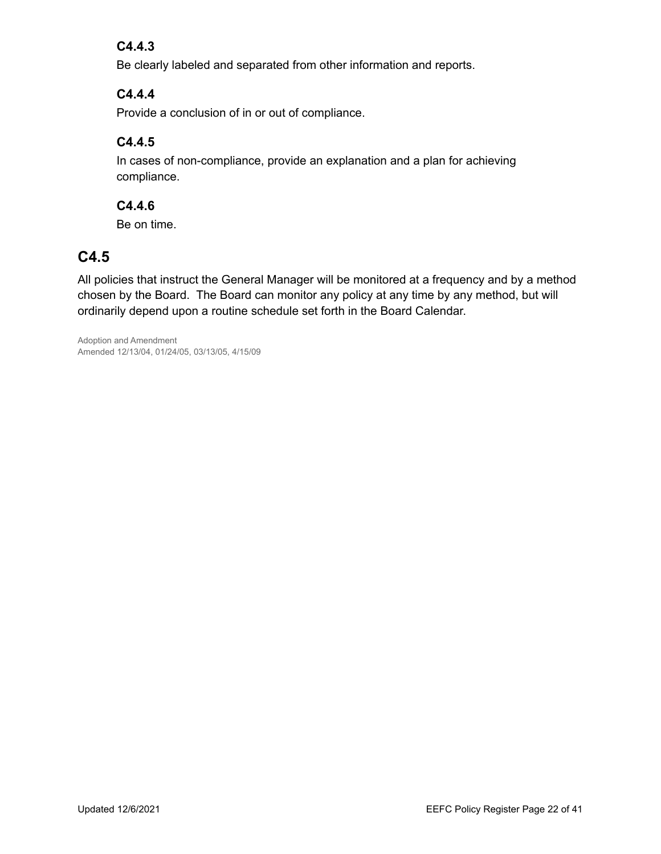#### **C4.4.3**

Be clearly labeled and separated from other information and reports.

#### **C4.4.4**

Provide a conclusion of in or out of compliance.

#### **C4.4.5**

In cases of non-compliance, provide an explanation and a plan for achieving compliance.

#### **C4.4.6**

Be on time.

# **C4.5**

All policies that instruct the General Manager will be monitored at a frequency and by a method chosen by the Board. The Board can monitor any policy at any time by any method, but will ordinarily depend upon a routine schedule set forth in the Board Calendar.

Adoption and Amendment Amended 12/13/04, 01/24/05, 03/13/05, 4/15/09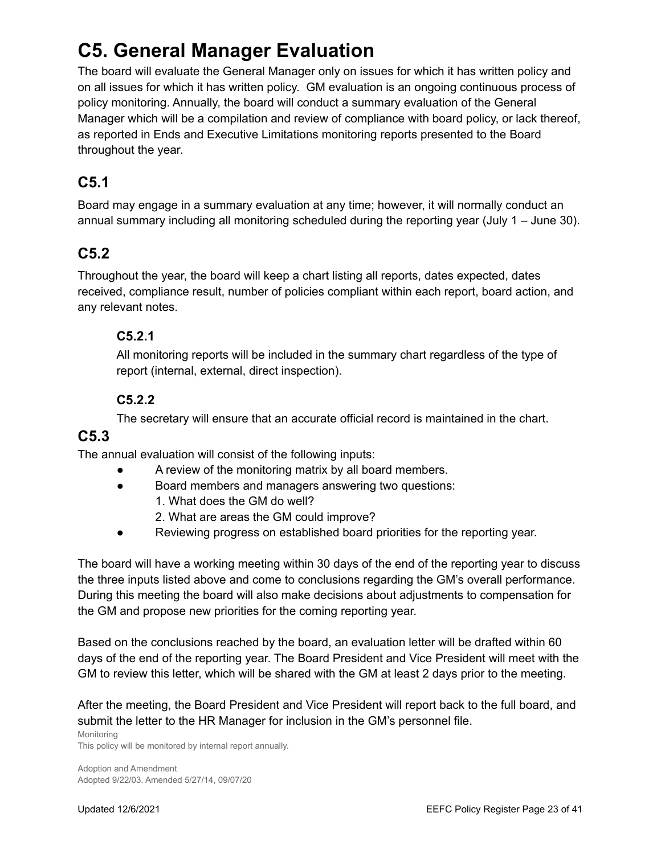# **C5. General Manager Evaluation**

The board will evaluate the General Manager only on issues for which it has written policy and on all issues for which it has written policy. GM evaluation is an ongoing continuous process of policy monitoring. Annually, the board will conduct a summary evaluation of the General Manager which will be a compilation and review of compliance with board policy, or lack thereof, as reported in Ends and Executive Limitations monitoring reports presented to the Board throughout the year.

# **C5.1**

Board may engage in a summary evaluation at any time; however, it will normally conduct an annual summary including all monitoring scheduled during the reporting year (July 1 – June 30).

# **C5.2**

Throughout the year, the board will keep a chart listing all reports, dates expected, dates received, compliance result, number of policies compliant within each report, board action, and any relevant notes.

#### **C5.2.1**

All monitoring reports will be included in the summary chart regardless of the type of report (internal, external, direct inspection).

#### **C5.2.2**

The secretary will ensure that an accurate official record is maintained in the chart.

#### **C5.3**

The annual evaluation will consist of the following inputs:

- A review of the monitoring matrix by all board members.
- Board members and managers answering two questions:
	- 1. What does the GM do well?
	- 2. What are areas the GM could improve?
- Reviewing progress on established board priorities for the reporting year.

The board will have a working meeting within 30 days of the end of the reporting year to discuss the three inputs listed above and come to conclusions regarding the GM's overall performance. During this meeting the board will also make decisions about adjustments to compensation for the GM and propose new priorities for the coming reporting year.

Based on the conclusions reached by the board, an evaluation letter will be drafted within 60 days of the end of the reporting year. The Board President and Vice President will meet with the GM to review this letter, which will be shared with the GM at least 2 days prior to the meeting.

After the meeting, the Board President and Vice President will report back to the full board, and submit the letter to the HR Manager for inclusion in the GM's personnel file.

Monitoring This policy will be monitored by internal report annually.

Adoption and Amendment Adopted 9/22/03. Amended 5/27/14, 09/07/20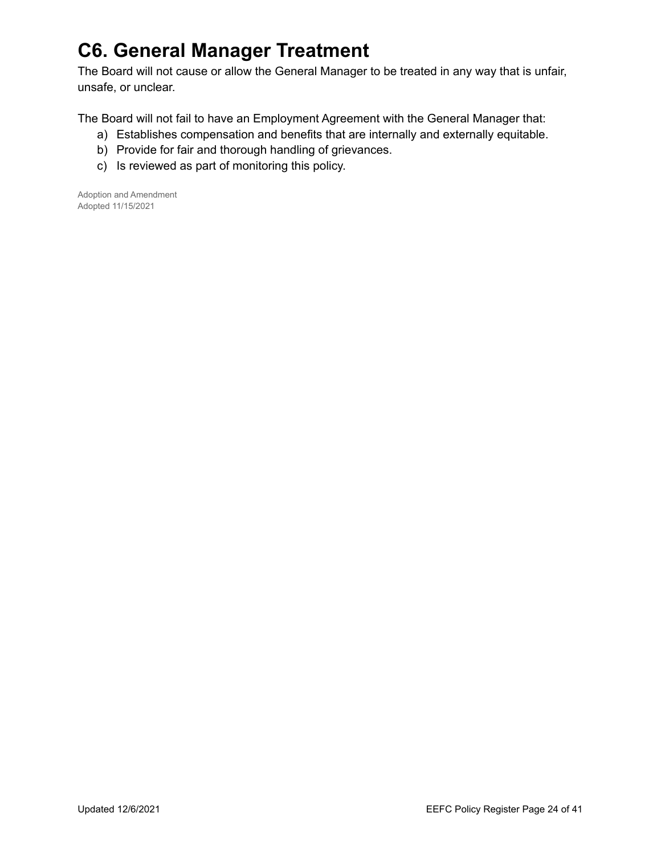# **C6. General Manager Treatment**

The Board will not cause or allow the General Manager to be treated in any way that is unfair, unsafe, or unclear.

The Board will not fail to have an Employment Agreement with the General Manager that:

- a) Establishes compensation and benefits that are internally and externally equitable.
- b) Provide for fair and thorough handling of grievances.
- c) Is reviewed as part of monitoring this policy.

Adoption and Amendment Adopted 11/15/2021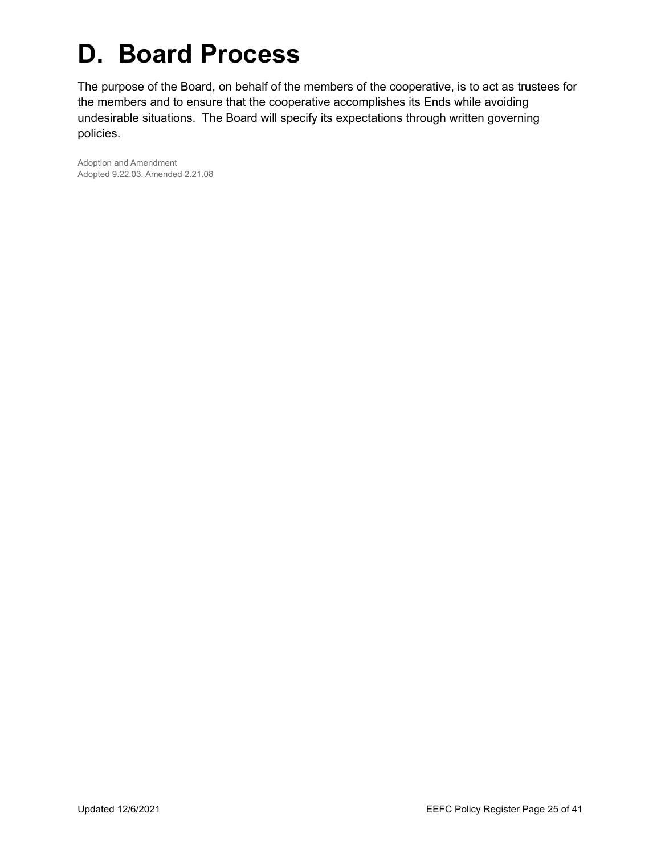# **D. Board Process**

The purpose of the Board, on behalf of the members of the cooperative, is to act as trustees for the members and to ensure that the cooperative accomplishes its Ends while avoiding undesirable situations. The Board will specify its expectations through written governing policies.

Adoption and Amendment Adopted 9.22.03. Amended 2.21.08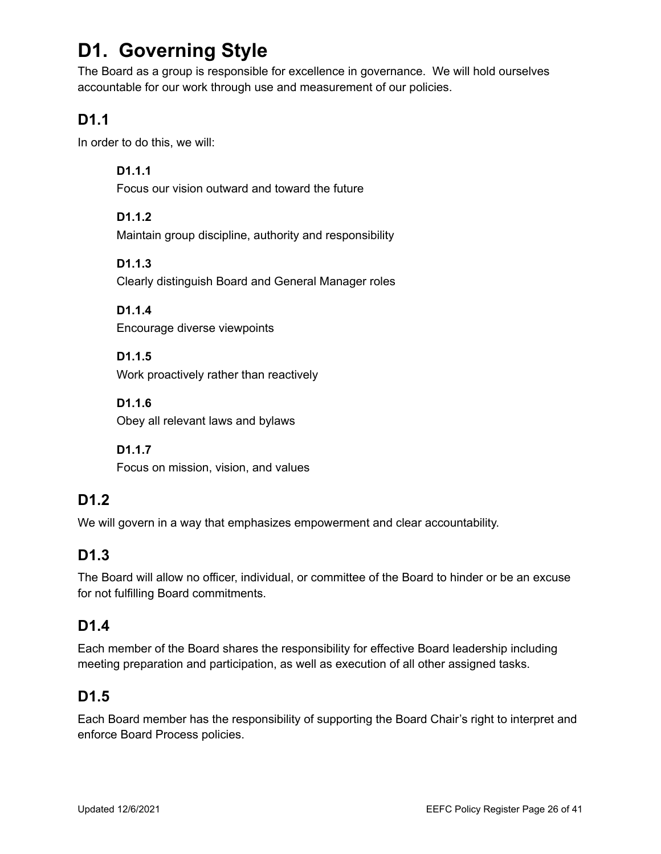# **D1. Governing Style**

The Board as a group is responsible for excellence in governance. We will hold ourselves accountable for our work through use and measurement of our policies.

# **D1.1**

In order to do this, we will:

**D1.1.1** Focus our vision outward and toward the future

**D1.1.2** Maintain group discipline, authority and responsibility

**D1.1.3** Clearly distinguish Board and General Manager roles

**D1.1.4** Encourage diverse viewpoints

**D1.1.5** Work proactively rather than reactively

**D1.1.6** Obey all relevant laws and bylaws

**D1.1.7** Focus on mission, vision, and values

# **D1.2**

We will govern in a way that emphasizes empowerment and clear accountability.

# **D1.3**

The Board will allow no officer, individual, or committee of the Board to hinder or be an excuse for not fulfilling Board commitments.

# **D1.4**

Each member of the Board shares the responsibility for effective Board leadership including meeting preparation and participation, as well as execution of all other assigned tasks.

# **D1.5**

Each Board member has the responsibility of supporting the Board Chair's right to interpret and enforce Board Process policies.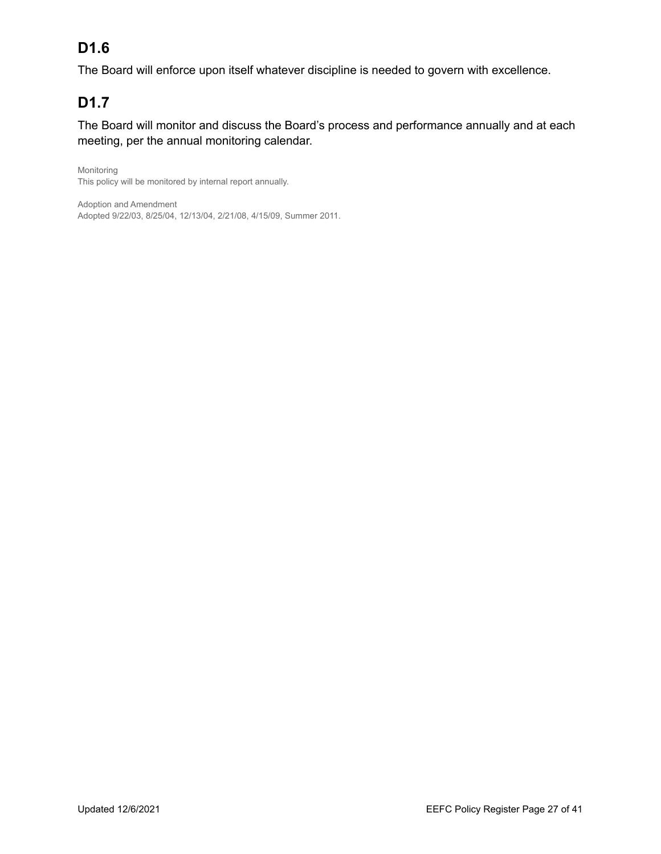# **D1.6**

The Board will enforce upon itself whatever discipline is needed to govern with excellence.

# **D1.7**

The Board will monitor and discuss the Board's process and performance annually and at each meeting, per the annual monitoring calendar.

Monitoring This policy will be monitored by internal report annually.

Adoption and Amendment Adopted 9/22/03, 8/25/04, 12/13/04, 2/21/08, 4/15/09, Summer 2011.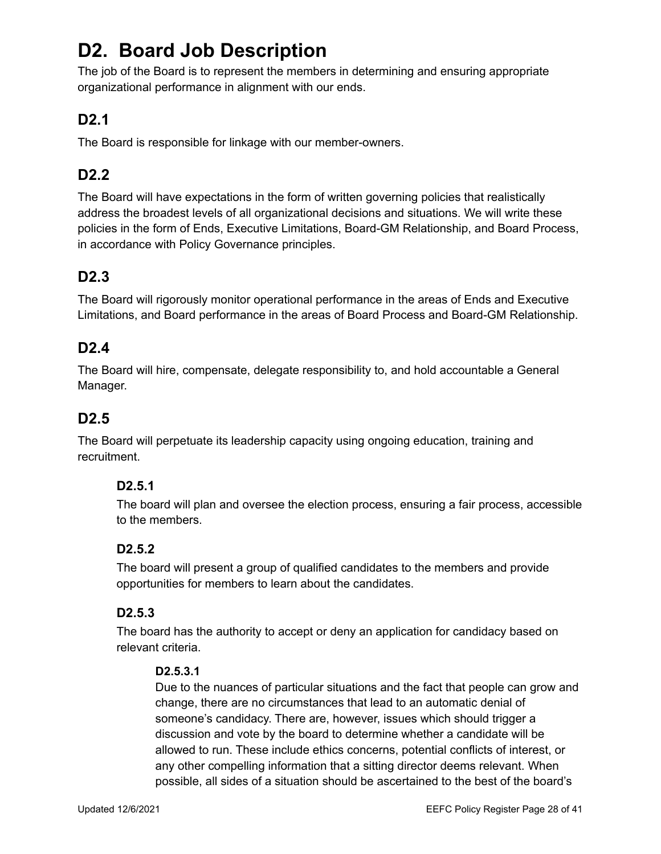# **D2. Board Job Description**

The job of the Board is to represent the members in determining and ensuring appropriate organizational performance in alignment with our ends.

# **D2.1**

The Board is responsible for linkage with our member-owners.

# **D2.2**

The Board will have expectations in the form of written governing policies that realistically address the broadest levels of all organizational decisions and situations. We will write these policies in the form of Ends, Executive Limitations, Board-GM Relationship, and Board Process, in accordance with Policy Governance principles.

# **D2.3**

The Board will rigorously monitor operational performance in the areas of Ends and Executive Limitations, and Board performance in the areas of Board Process and Board-GM Relationship.

# **D2.4**

The Board will hire, compensate, delegate responsibility to, and hold accountable a General Manager.

## **D2.5**

The Board will perpetuate its leadership capacity using ongoing education, training and recruitment.

#### **D2.5.1**

The board will plan and oversee the election process, ensuring a fair process, accessible to the members.

#### **D2.5.2**

The board will present a group of qualified candidates to the members and provide opportunities for members to learn about the candidates.

#### **D2.5.3**

The board has the authority to accept or deny an application for candidacy based on relevant criteria.

#### **D2.5.3.1**

Due to the nuances of particular situations and the fact that people can grow and change, there are no circumstances that lead to an automatic denial of someone's candidacy. There are, however, issues which should trigger a discussion and vote by the board to determine whether a candidate will be allowed to run. These include ethics concerns, potential conflicts of interest, or any other compelling information that a sitting director deems relevant. When possible, all sides of a situation should be ascertained to the best of the board's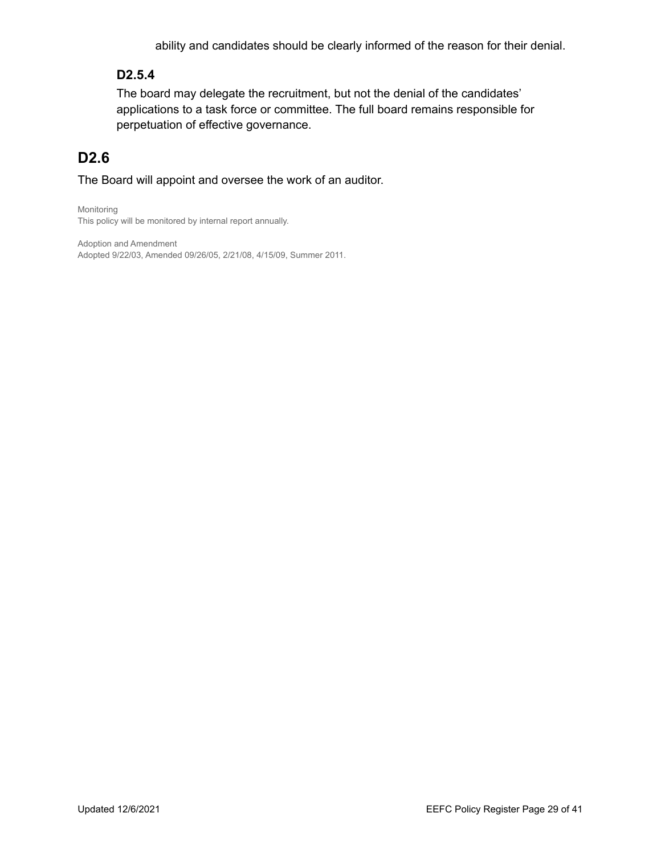ability and candidates should be clearly informed of the reason for their denial.

#### **D2.5.4**

The board may delegate the recruitment, but not the denial of the candidates' applications to a task force or committee. The full board remains responsible for perpetuation of effective governance.

# **D2.6**

The Board will appoint and oversee the work of an auditor.

Monitoring This policy will be monitored by internal report annually.

Adoption and Amendment Adopted 9/22/03, Amended 09/26/05, 2/21/08, 4/15/09, Summer 2011.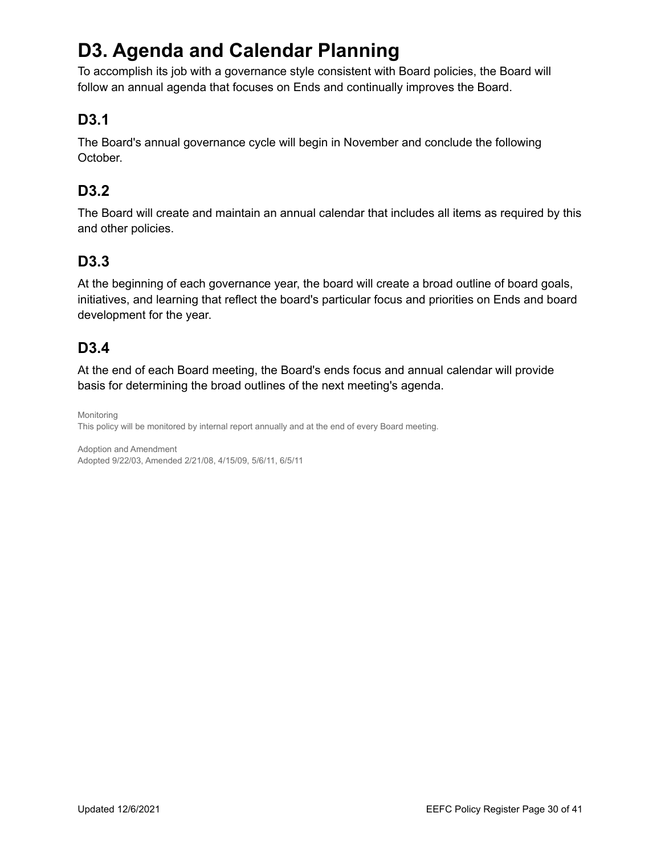# **D3. Agenda and Calendar Planning**

To accomplish its job with a governance style consistent with Board policies, the Board will follow an annual agenda that focuses on Ends and continually improves the Board.

# **D3.1**

The Board's annual governance cycle will begin in November and conclude the following October.

# **D3.2**

The Board will create and maintain an annual calendar that includes all items as required by this and other policies.

## **D3.3**

At the beginning of each governance year, the board will create a broad outline of board goals, initiatives, and learning that reflect the board's particular focus and priorities on Ends and board development for the year.

# **D3.4**

At the end of each Board meeting, the Board's ends focus and annual calendar will provide basis for determining the broad outlines of the next meeting's agenda.

Monitoring This policy will be monitored by internal report annually and at the end of every Board meeting.

Adoption and Amendment Adopted 9/22/03, Amended 2/21/08, 4/15/09, 5/6/11, 6/5/11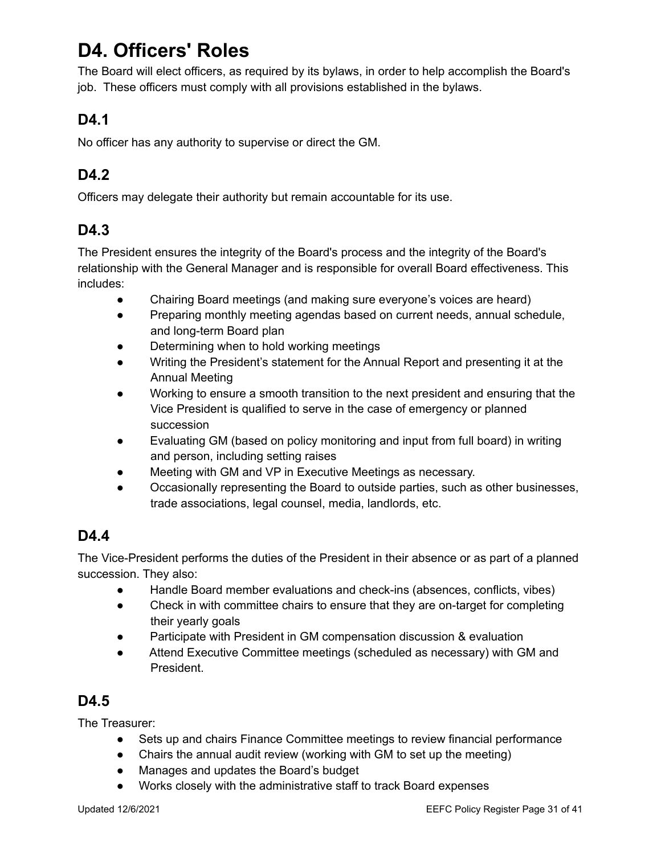# **D4. Officers' Roles**

The Board will elect officers, as required by its bylaws, in order to help accomplish the Board's job. These officers must comply with all provisions established in the bylaws.

# **D4.1**

No officer has any authority to supervise or direct the GM.

# **D4.2**

Officers may delegate their authority but remain accountable for its use.

# **D4.3**

The President ensures the integrity of the Board's process and the integrity of the Board's relationship with the General Manager and is responsible for overall Board effectiveness. This includes:

- Chairing Board meetings (and making sure everyone's voices are heard)
- Preparing monthly meeting agendas based on current needs, annual schedule, and long-term Board plan
- Determining when to hold working meetings
- Writing the President's statement for the Annual Report and presenting it at the Annual Meeting
- Working to ensure a smooth transition to the next president and ensuring that the Vice President is qualified to serve in the case of emergency or planned succession
- Evaluating GM (based on policy monitoring and input from full board) in writing and person, including setting raises
- Meeting with GM and VP in Executive Meetings as necessary.
- Occasionally representing the Board to outside parties, such as other businesses, trade associations, legal counsel, media, landlords, etc.

# **D4.4**

The Vice-President performs the duties of the President in their absence or as part of a planned succession. They also:

- Handle Board member evaluations and check-ins (absences, conflicts, vibes)
- Check in with committee chairs to ensure that they are on-target for completing their yearly goals
- Participate with President in GM compensation discussion & evaluation
- Attend Executive Committee meetings (scheduled as necessary) with GM and President.

# **D4.5**

The Treasurer:

- Sets up and chairs Finance Committee meetings to review financial performance
- Chairs the annual audit review (working with GM to set up the meeting)
- Manages and updates the Board's budget
- Works closely with the administrative staff to track Board expenses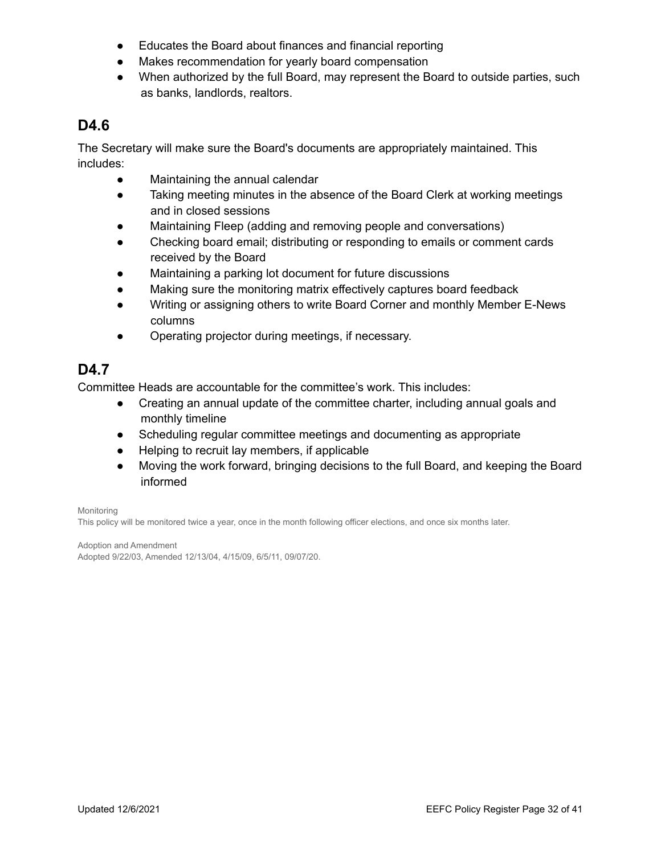- Educates the Board about finances and financial reporting
- Makes recommendation for yearly board compensation
- When authorized by the full Board, may represent the Board to outside parties, such as banks, landlords, realtors.

#### **D4.6**

The Secretary will make sure the Board's documents are appropriately maintained. This includes:

- Maintaining the annual calendar
- Taking meeting minutes in the absence of the Board Clerk at working meetings and in closed sessions
- Maintaining Fleep (adding and removing people and conversations)
- Checking board email; distributing or responding to emails or comment cards received by the Board
- Maintaining a parking lot document for future discussions
- Making sure the monitoring matrix effectively captures board feedback
- Writing or assigning others to write Board Corner and monthly Member E-News columns
- Operating projector during meetings, if necessary.

# **D4.7**

Committee Heads are accountable for the committee's work. This includes:

- Creating an annual update of the committee charter, including annual goals and monthly timeline
- Scheduling regular committee meetings and documenting as appropriate
- Helping to recruit lay members, if applicable
- Moving the work forward, bringing decisions to the full Board, and keeping the Board informed

Monitoring

This policy will be monitored twice a year, once in the month following officer elections, and once six months later.

Adoption and Amendment Adopted 9/22/03, Amended 12/13/04, 4/15/09, 6/5/11, 09/07/20.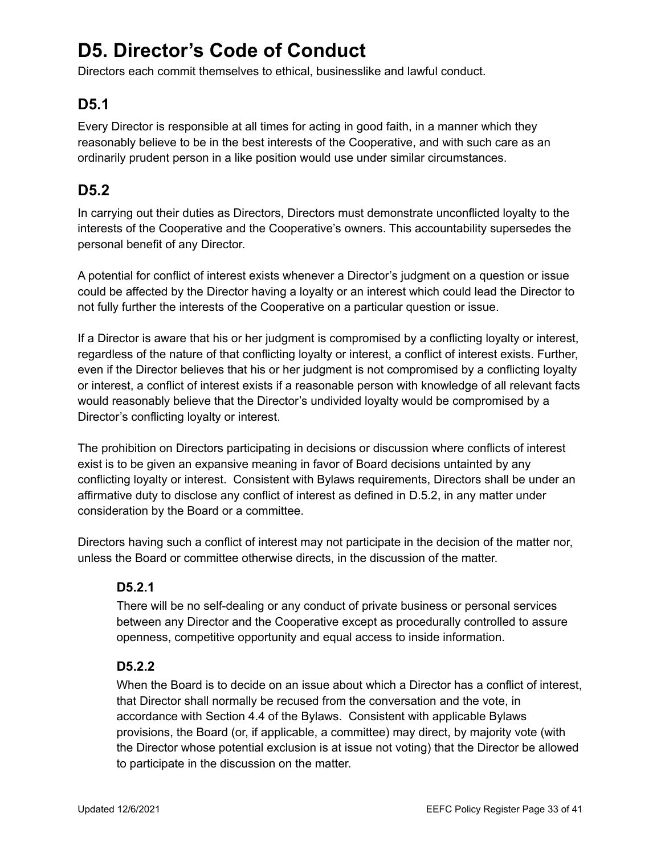# **D5. Director's Code of Conduct**

Directors each commit themselves to ethical, businesslike and lawful conduct.

# **D5.1**

Every Director is responsible at all times for acting in good faith, in a manner which they reasonably believe to be in the best interests of the Cooperative, and with such care as an ordinarily prudent person in a like position would use under similar circumstances.

# **D5.2**

In carrying out their duties as Directors, Directors must demonstrate unconflicted loyalty to the interests of the Cooperative and the Cooperative's owners. This accountability supersedes the personal benefit of any Director.

A potential for conflict of interest exists whenever a Director's judgment on a question or issue could be affected by the Director having a loyalty or an interest which could lead the Director to not fully further the interests of the Cooperative on a particular question or issue.

If a Director is aware that his or her judgment is compromised by a conflicting loyalty or interest, regardless of the nature of that conflicting loyalty or interest, a conflict of interest exists. Further, even if the Director believes that his or her judgment is not compromised by a conflicting loyalty or interest, a conflict of interest exists if a reasonable person with knowledge of all relevant facts would reasonably believe that the Director's undivided loyalty would be compromised by a Director's conflicting loyalty or interest.

The prohibition on Directors participating in decisions or discussion where conflicts of interest exist is to be given an expansive meaning in favor of Board decisions untainted by any conflicting loyalty or interest. Consistent with Bylaws requirements, Directors shall be under an affirmative duty to disclose any conflict of interest as defined in D.5.2, in any matter under consideration by the Board or a committee.

Directors having such a conflict of interest may not participate in the decision of the matter nor, unless the Board or committee otherwise directs, in the discussion of the matter.

#### **D5.2.1**

There will be no self-dealing or any conduct of private business or personal services between any Director and the Cooperative except as procedurally controlled to assure openness, competitive opportunity and equal access to inside information.

#### **D5.2.2**

When the Board is to decide on an issue about which a Director has a conflict of interest, that Director shall normally be recused from the conversation and the vote, in accordance with Section 4.4 of the Bylaws. Consistent with applicable Bylaws provisions, the Board (or, if applicable, a committee) may direct, by majority vote (with the Director whose potential exclusion is at issue not voting) that the Director be allowed to participate in the discussion on the matter.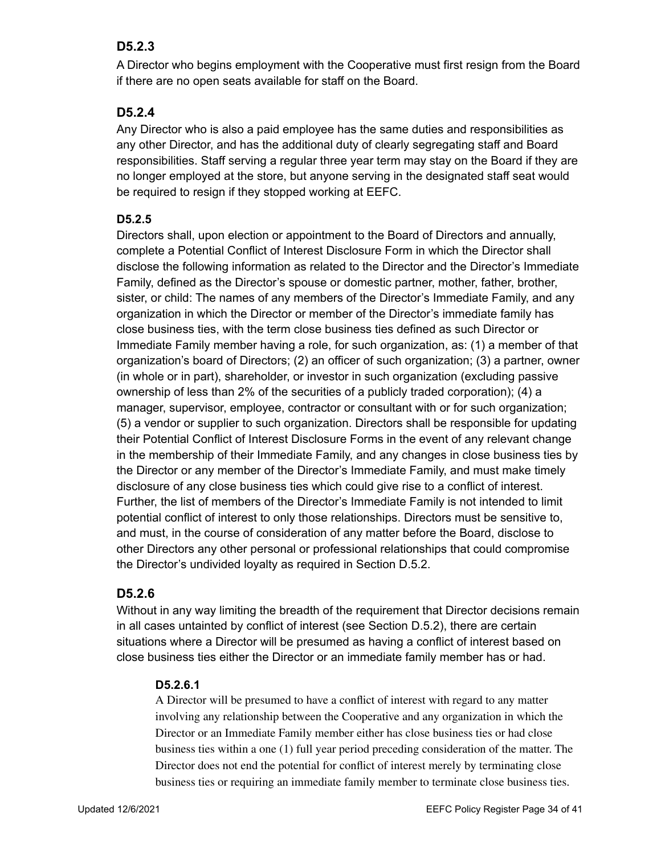#### **D5.2.3**

A Director who begins employment with the Cooperative must first resign from the Board if there are no open seats available for staff on the Board.

#### **D5.2.4**

Any Director who is also a paid employee has the same duties and responsibilities as any other Director, and has the additional duty of clearly segregating staff and Board responsibilities. Staff serving a regular three year term may stay on the Board if they are no longer employed at the store, but anyone serving in the designated staff seat would be required to resign if they stopped working at EEFC.

#### **D5.2.5**

Directors shall, upon election or appointment to the Board of Directors and annually, complete a Potential Conflict of Interest Disclosure Form in which the Director shall disclose the following information as related to the Director and the Director's Immediate Family, defined as the Director's spouse or domestic partner, mother, father, brother, sister, or child: The names of any members of the Director's Immediate Family, and any organization in which the Director or member of the Director's immediate family has close business ties, with the term close business ties defined as such Director or Immediate Family member having a role, for such organization, as: (1) a member of that organization's board of Directors; (2) an officer of such organization; (3) a partner, owner (in whole or in part), shareholder, or investor in such organization (excluding passive ownership of less than 2% of the securities of a publicly traded corporation); (4) a manager, supervisor, employee, contractor or consultant with or for such organization; (5) a vendor or supplier to such organization. Directors shall be responsible for updating their Potential Conflict of Interest Disclosure Forms in the event of any relevant change in the membership of their Immediate Family, and any changes in close business ties by the Director or any member of the Director's Immediate Family, and must make timely disclosure of any close business ties which could give rise to a conflict of interest. Further, the list of members of the Director's Immediate Family is not intended to limit potential conflict of interest to only those relationships. Directors must be sensitive to, and must, in the course of consideration of any matter before the Board, disclose to other Directors any other personal or professional relationships that could compromise the Director's undivided loyalty as required in Section D.5.2.

#### **D5.2.6**

Without in any way limiting the breadth of the requirement that Director decisions remain in all cases untainted by conflict of interest (see Section D.5.2), there are certain situations where a Director will be presumed as having a conflict of interest based on close business ties either the Director or an immediate family member has or had.

#### **D5.2.6.1**

A Director will be presumed to have a conflict of interest with regard to any matter involving any relationship between the Cooperative and any organization in which the Director or an Immediate Family member either has close business ties or had close business ties within a one (1) full year period preceding consideration of the matter. The Director does not end the potential for conflict of interest merely by terminating close business ties or requiring an immediate family member to terminate close business ties.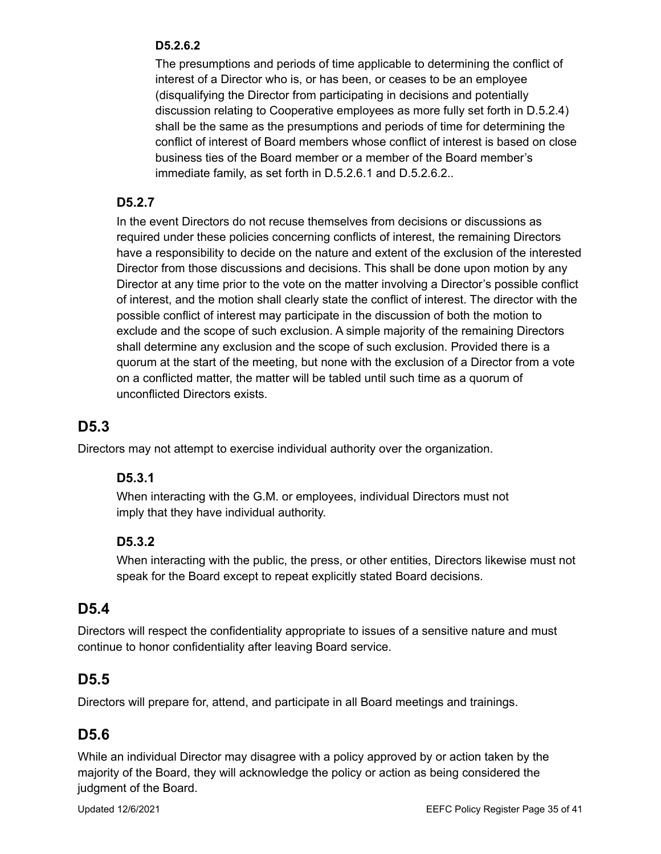#### **D5.2.6.2**

The presumptions and periods of time applicable to determining the conflict of interest of a Director who is, or has been, or ceases to be an employee (disqualifying the Director from participating in decisions and potentially discussion relating to Cooperative employees as more fully set forth in D.5.2.4) shall be the same as the presumptions and periods of time for determining the conflict of interest of Board members whose conflict of interest is based on close business ties of the Board member or a member of the Board member's immediate family, as set forth in D.5.2.6.1 and D.5.2.6.2..

#### **D5.2.7**

In the event Directors do not recuse themselves from decisions or discussions as required under these policies concerning conflicts of interest, the remaining Directors have a responsibility to decide on the nature and extent of the exclusion of the interested Director from those discussions and decisions. This shall be done upon motion by any Director at any time prior to the vote on the matter involving a Director's possible conflict of interest, and the motion shall clearly state the conflict of interest. The director with the possible conflict of interest may participate in the discussion of both the motion to exclude and the scope of such exclusion. A simple majority of the remaining Directors shall determine any exclusion and the scope of such exclusion. Provided there is a quorum at the start of the meeting, but none with the exclusion of a Director from a vote on a conflicted matter, the matter will be tabled until such time as a quorum of unconflicted Directors exists.

#### **D5.3**

Directors may not attempt to exercise individual authority over the organization.

#### **D5.3.1**

When interacting with the G.M. or employees, individual Directors must not imply that they have individual authority.

#### **D5.3.2**

When interacting with the public, the press, or other entities, Directors likewise must not speak for the Board except to repeat explicitly stated Board decisions.

#### **D5.4**

Directors will respect the confidentiality appropriate to issues of a sensitive nature and must continue to honor confidentiality after leaving Board service.

#### **D5.5**

Directors will prepare for, attend, and participate in all Board meetings and trainings.

#### **D5.6**

While an individual Director may disagree with a policy approved by or action taken by the majority of the Board, they will acknowledge the policy or action as being considered the judgment of the Board.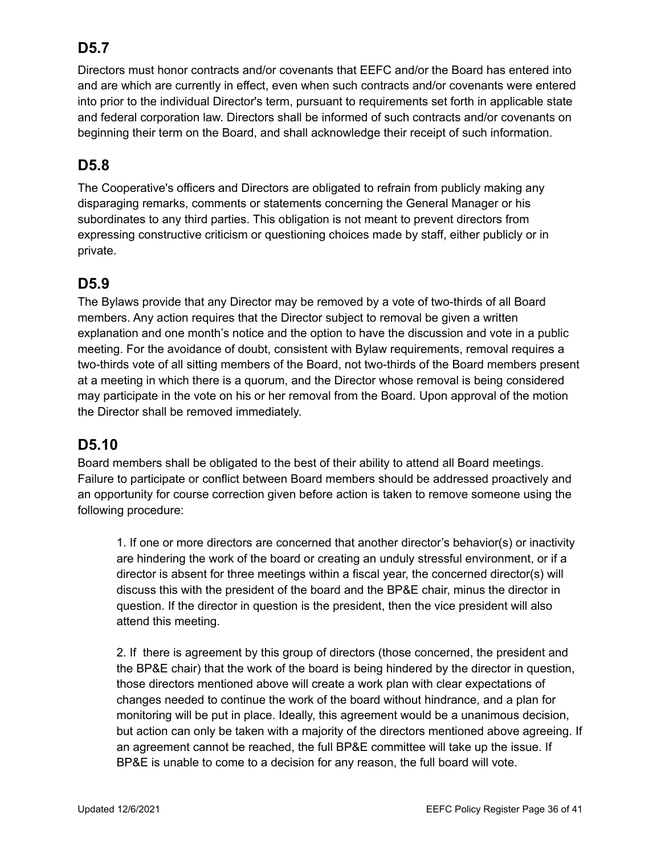# **D5.7**

Directors must honor contracts and/or covenants that EEFC and/or the Board has entered into and are which are currently in effect, even when such contracts and/or covenants were entered into prior to the individual Director's term, pursuant to requirements set forth in applicable state and federal corporation law. Directors shall be informed of such contracts and/or covenants on beginning their term on the Board, and shall acknowledge their receipt of such information.

# **D5.8**

The Cooperative's officers and Directors are obligated to refrain from publicly making any disparaging remarks, comments or statements concerning the General Manager or his subordinates to any third parties. This obligation is not meant to prevent directors from expressing constructive criticism or questioning choices made by staff, either publicly or in private.

## **D5.9**

The Bylaws provide that any Director may be removed by a vote of two-thirds of all Board members. Any action requires that the Director subject to removal be given a written explanation and one month's notice and the option to have the discussion and vote in a public meeting. For the avoidance of doubt, consistent with Bylaw requirements, removal requires a two-thirds vote of all sitting members of the Board, not two-thirds of the Board members present at a meeting in which there is a quorum, and the Director whose removal is being considered may participate in the vote on his or her removal from the Board. Upon approval of the motion the Director shall be removed immediately.

## **D5.10**

Board members shall be obligated to the best of their ability to attend all Board meetings. Failure to participate or conflict between Board members should be addressed proactively and an opportunity for course correction given before action is taken to remove someone using the following procedure:

1. If one or more directors are concerned that another director's behavior(s) or inactivity are hindering the work of the board or creating an unduly stressful environment, or if a director is absent for three meetings within a fiscal year, the concerned director(s) will discuss this with the president of the board and the BP&E chair, minus the director in question. If the director in question is the president, then the vice president will also attend this meeting.

2. If there is agreement by this group of directors (those concerned, the president and the BP&E chair) that the work of the board is being hindered by the director in question, those directors mentioned above will create a work plan with clear expectations of changes needed to continue the work of the board without hindrance, and a plan for monitoring will be put in place. Ideally, this agreement would be a unanimous decision, but action can only be taken with a majority of the directors mentioned above agreeing. If an agreement cannot be reached, the full BP&E committee will take up the issue. If BP&E is unable to come to a decision for any reason, the full board will vote.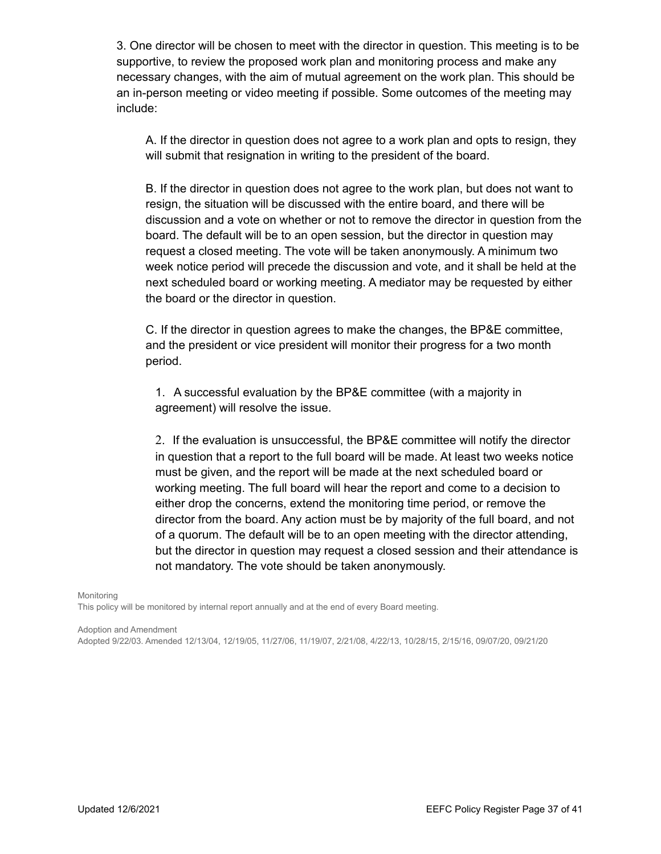3. One director will be chosen to meet with the director in question. This meeting is to be supportive, to review the proposed work plan and monitoring process and make any necessary changes, with the aim of mutual agreement on the work plan. This should be an in-person meeting or video meeting if possible. Some outcomes of the meeting may include:

A. If the director in question does not agree to a work plan and opts to resign, they will submit that resignation in writing to the president of the board.

B. If the director in question does not agree to the work plan, but does not want to resign, the situation will be discussed with the entire board, and there will be discussion and a vote on whether or not to remove the director in question from the board. The default will be to an open session, but the director in question may request a closed meeting. The vote will be taken anonymously. A minimum two week notice period will precede the discussion and vote, and it shall be held at the next scheduled board or working meeting. A mediator may be requested by either the board or the director in question.

C. If the director in question agrees to make the changes, the BP&E committee, and the president or vice president will monitor their progress for a two month period.

1. A successful evaluation by the BP&E committee (with a majority in agreement) will resolve the issue.

2. If the evaluation is unsuccessful, the BP&E committee will notify the director in question that a report to the full board will be made. At least two weeks notice must be given, and the report will be made at the next scheduled board or working meeting. The full board will hear the report and come to a decision to either drop the concerns, extend the monitoring time period, or remove the director from the board. Any action must be by majority of the full board, and not of a quorum. The default will be to an open meeting with the director attending, but the director in question may request a closed session and their attendance is not mandatory. The vote should be taken anonymously.

Monitoring

This policy will be monitored by internal report annually and at the end of every Board meeting.

Adoption and Amendment

Adopted 9/22/03. Amended 12/13/04, 12/19/05, 11/27/06, 11/19/07, 2/21/08, 4/22/13, 10/28/15, 2/15/16, 09/07/20, 09/21/20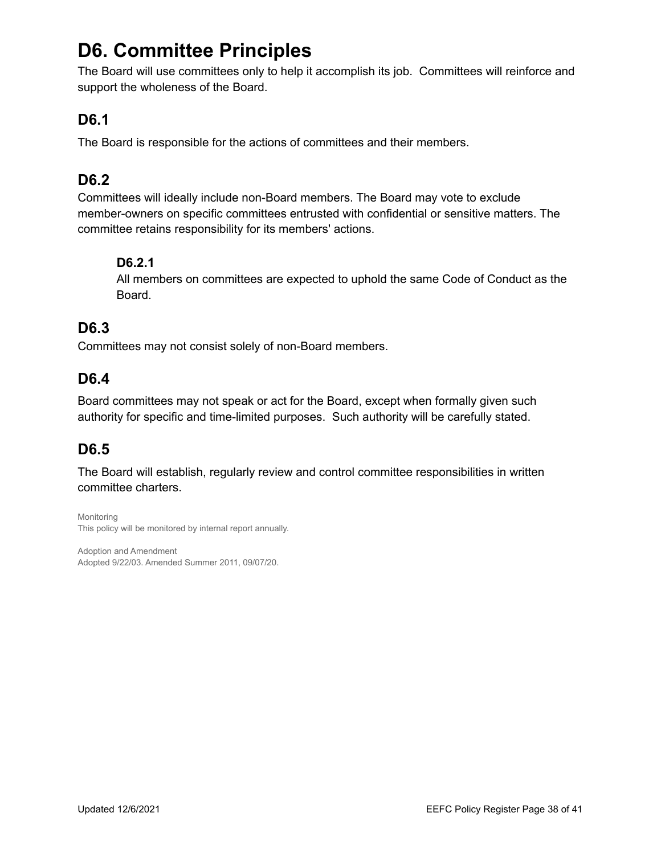# **D6. Committee Principles**

The Board will use committees only to help it accomplish its job. Committees will reinforce and support the wholeness of the Board.

## **D6.1**

The Board is responsible for the actions of committees and their members.

## **D6.2**

Committees will ideally include non-Board members. The Board may vote to exclude member-owners on specific committees entrusted with confidential or sensitive matters. The committee retains responsibility for its members' actions.

#### **D6.2.1**

All members on committees are expected to uphold the same Code of Conduct as the Board.

# **D6.3**

Committees may not consist solely of non-Board members.

# **D6.4**

Board committees may not speak or act for the Board, except when formally given such authority for specific and time-limited purposes. Such authority will be carefully stated.

# **D6.5**

The Board will establish, regularly review and control committee responsibilities in written committee charters.

Monitoring This policy will be monitored by internal report annually.

Adoption and Amendment Adopted 9/22/03. Amended Summer 2011, 09/07/20.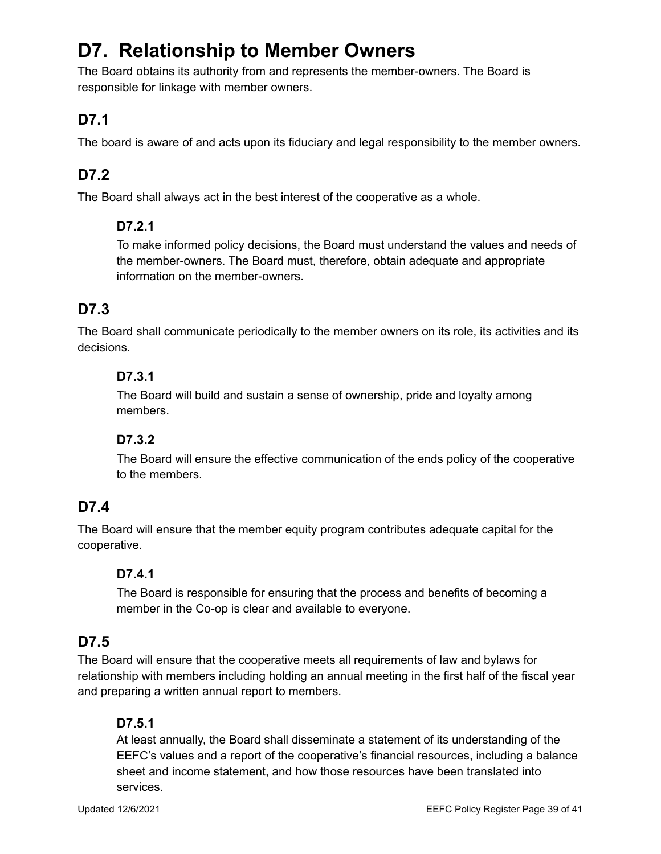# **D7. Relationship to Member Owners**

The Board obtains its authority from and represents the member-owners. The Board is responsible for linkage with member owners.

# **D7.1**

The board is aware of and acts upon its fiduciary and legal responsibility to the member owners.

# **D7.2**

The Board shall always act in the best interest of the cooperative as a whole.

#### **D7.2.1**

To make informed policy decisions, the Board must understand the values and needs of the member-owners. The Board must, therefore, obtain adequate and appropriate information on the member-owners.

# **D7.3**

The Board shall communicate periodically to the member owners on its role, its activities and its decisions.

#### **D7.3.1**

The Board will build and sustain a sense of ownership, pride and loyalty among members.

#### **D7.3.2**

The Board will ensure the effective communication of the ends policy of the cooperative to the members.

# **D7.4**

The Board will ensure that the member equity program contributes adequate capital for the cooperative.

#### **D7.4.1**

The Board is responsible for ensuring that the process and benefits of becoming a member in the Co-op is clear and available to everyone.

# **D7.5**

The Board will ensure that the cooperative meets all requirements of law and bylaws for relationship with members including holding an annual meeting in the first half of the fiscal year and preparing a written annual report to members.

#### **D7.5.1**

At least annually, the Board shall disseminate a statement of its understanding of the EEFC's values and a report of the cooperative's financial resources, including a balance sheet and income statement, and how those resources have been translated into services.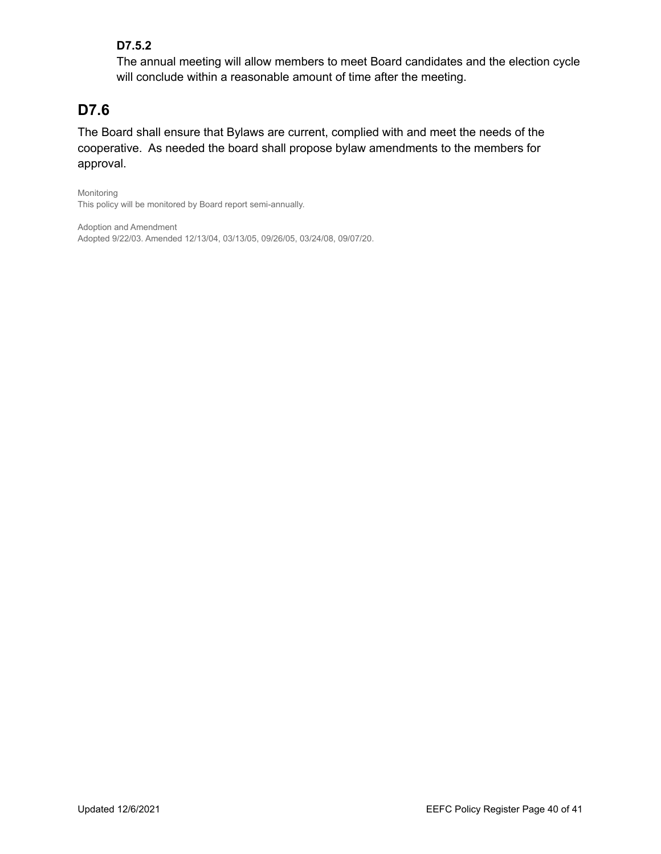#### **D7.5.2**

The annual meeting will allow members to meet Board candidates and the election cycle will conclude within a reasonable amount of time after the meeting.

# **D7.6**

The Board shall ensure that Bylaws are current, complied with and meet the needs of the cooperative. As needed the board shall propose bylaw amendments to the members for approval.

Monitoring This policy will be monitored by Board report semi-annually.

Adoption and Amendment Adopted 9/22/03. Amended 12/13/04, 03/13/05, 09/26/05, 03/24/08, 09/07/20.